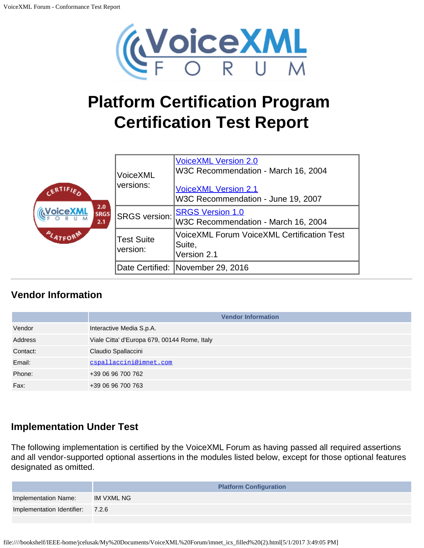

# **Platform Certification Program Certification Test Report**

|                                              | VoiceXML<br>versions:                                  | <b>VoiceXML Version 2.0</b><br>W3C Recommendation - March 16, 2004<br><b>VoiceXML Version 2.1</b><br>W3C Recommendation - June 19, 2007 |
|----------------------------------------------|--------------------------------------------------------|-----------------------------------------------------------------------------------------------------------------------------------------|
| 2.0<br><b>VoiceXML</b><br><b>SRGS</b><br>2.1 | <b>SRGS version:</b>                                   | <b>SRGS Version 1.0</b><br>W3C Recommendation - March 16, 2004                                                                          |
| <b>PLATFORM</b>                              | <b>Test Suite</b><br>Suite,<br>version:<br>Version 2.1 | <b>VoiceXML Forum VoiceXML Certification Test</b>                                                                                       |
|                                              |                                                        | Date Certified: November 29, 2016                                                                                                       |

# **Vendor Information**

|          | <b>Vendor Information</b>                    |
|----------|----------------------------------------------|
| Vendor   | Interactive Media S.p.A.                     |
| Address  | Viale Citta' d'Europa 679, 00144 Rome, Italy |
| Contact: | Claudio Spallaccini                          |
| Email:   | cspallaccini@imnet.com                       |
| Phone:   | +39 06 96 700 762                            |
| Fax:     | +39 06 96 700 763                            |

# **Implementation Under Test**

The following implementation is certified by the VoiceXML Forum as having passed all required assertions and all vendor-supported optional assertions in the modules listed below, except for those optional features designated as omitted.

|                                  | <b>Platform Configuration</b> |
|----------------------------------|-------------------------------|
| Implementation Name:             | IM VXML NG                    |
| Implementation Identifier: 7.2.6 |                               |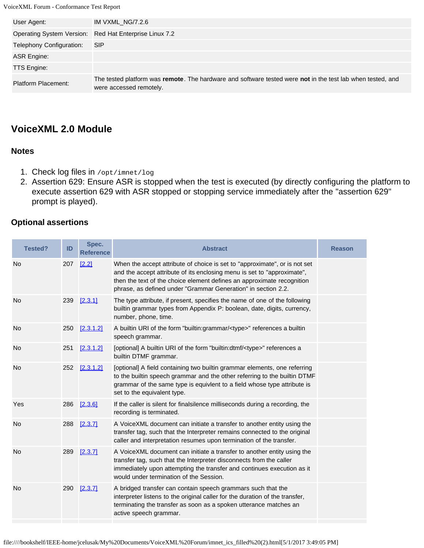| User Agent:                | IM VXML_NG/7.2.6                                                                                                                      |
|----------------------------|---------------------------------------------------------------------------------------------------------------------------------------|
|                            | Operating System Version: Red Hat Enterprise Linux 7.2                                                                                |
| Telephony Configuration:   | <b>SIP</b>                                                                                                                            |
| ASR Engine:                |                                                                                                                                       |
| <b>TTS Engine:</b>         |                                                                                                                                       |
| <b>Platform Placement:</b> | The tested platform was remote. The hardware and software tested were not in the test lab when tested, and<br>were accessed remotely. |

# **VoiceXML 2.0 Module**

## **Notes**

- 1. Check log files in /opt/imnet/log
- 2. Assertion 629: Ensure ASR is stopped when the test is executed (by directly configuring the platform to execute assertion 629 with ASR stopped or stopping service immediately after the "assertion 629" prompt is played).

## **Optional assertions**

| <b>Tested?</b> | ID  | Spec.<br><b>Reference</b> | <b>Abstract</b>                                                                                                                                                                                                                                                                                  | <b>Reason</b> |
|----------------|-----|---------------------------|--------------------------------------------------------------------------------------------------------------------------------------------------------------------------------------------------------------------------------------------------------------------------------------------------|---------------|
| No             | 207 | [2.2]                     | When the accept attribute of choice is set to "approximate", or is not set<br>and the accept attribute of its enclosing menu is set to "approximate",<br>then the text of the choice element defines an approximate recognition<br>phrase, as defined under "Grammar Generation" in section 2.2. |               |
| No             | 239 | [2.3.1]                   | The type attribute, if present, specifies the name of one of the following<br>builtin grammar types from Appendix P: boolean, date, digits, currency,<br>number, phone, time.                                                                                                                    |               |
| No             | 250 | [2.3.1.2]                 | A builtin URI of the form "builtin:grammar/ <type>" references a builtin<br/>speech grammar.</type>                                                                                                                                                                                              |               |
| No             | 251 | [2.3.1.2]                 | [optional] A builtin URI of the form "builtin:dtmf/ <type>" references a<br/>builtin DTMF grammar.</type>                                                                                                                                                                                        |               |
| No             | 252 | [2.3.1.2]                 | [optional] A field containing two builtin grammar elements, one referring<br>to the builtin speech grammar and the other referring to the builtin DTMF<br>grammar of the same type is equivlent to a field whose type attribute is<br>set to the equivalent type.                                |               |
| Yes            | 286 | [2.3.6]                   | If the caller is silent for finalsilence milliseconds during a recording, the<br>recording is terminated.                                                                                                                                                                                        |               |
| No             | 288 | [2.3.7]                   | A VoiceXML document can initiate a transfer to another entity using the<br>transfer tag, such that the Interpreter remains connected to the original<br>caller and interpretation resumes upon termination of the transfer.                                                                      |               |
| <b>No</b>      | 289 | [2.3.7]                   | A VoiceXML document can initiate a transfer to another entity using the<br>transfer tag, such that the Interpreter disconnects from the caller<br>immediately upon attempting the transfer and continues execution as it<br>would under termination of the Session.                              |               |
| <b>No</b>      | 290 | [2.3.7]                   | A bridged transfer can contain speech grammars such that the<br>interpreter listens to the original caller for the duration of the transfer,<br>terminating the transfer as soon as a spoken utterance matches an<br>active speech grammar.                                                      |               |
|                |     |                           |                                                                                                                                                                                                                                                                                                  |               |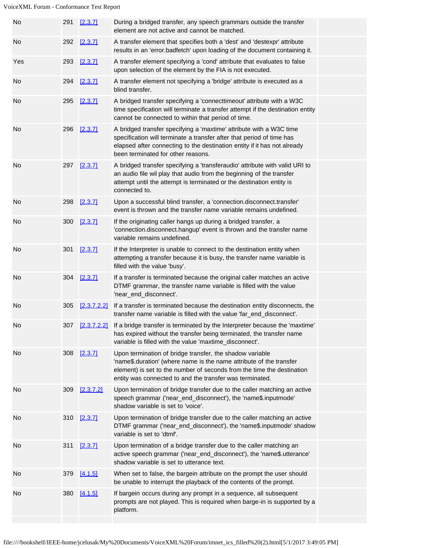| No  | 291 | [2.3.7]     | During a bridged transfer, any speech grammars outside the transfer<br>element are not active and cannot be matched.                                                                                                                                                  |  |
|-----|-----|-------------|-----------------------------------------------------------------------------------------------------------------------------------------------------------------------------------------------------------------------------------------------------------------------|--|
| No  |     | 292 [2.3.7] | A transfer element that specifies both a 'dest' and 'destexpr' attribute<br>results in an 'error.badfetch' upon loading of the document containing it.                                                                                                                |  |
| Yes | 293 | [2.3.7]     | A transfer element specifying a 'cond' attribute that evaluates to false<br>upon selection of the element by the FIA is not executed.                                                                                                                                 |  |
| No  | 294 | [2.3.7]     | A transfer element not specifying a 'bridge' attribute is executed as a<br>blind transfer.                                                                                                                                                                            |  |
| No  | 295 | [2.3.7]     | A bridged transfer specifying a 'connecttimeout' attribute with a W3C<br>time specification will terminate a transfer attempt if the destination entity<br>cannot be connected to within that period of time.                                                         |  |
| No  | 296 | [2.3.7]     | A bridged transfer specifying a 'maxtime' attribute with a W3C time<br>specification will terminate a transfer after that period of time has<br>elapsed after connecting to the destination entity if it has not already<br>been terminated for other reasons.        |  |
| No  | 297 | [2.3.7]     | A bridged transfer specifying a 'transferaudio' attribute with valid URI to<br>an audio file wil play that audio from the beginning of the transfer<br>attempt until the attempt is terminated or the destination entity is<br>connected to.                          |  |
| No  | 298 | [2.3.7]     | Upon a successful blind transfer, a 'connection.disconnect.transfer'<br>event is thrown and the transfer name variable remains undefined.                                                                                                                             |  |
| No  | 300 | [2.3.7]     | If the originating caller hangs up during a bridged transfer, a<br>'connection.disconnect.hangup' event is thrown and the transfer name<br>variable remains undefined.                                                                                                |  |
| No  | 301 | [2.3.7]     | If the Interpreter is unable to connect to the destination entity when<br>attempting a transfer because it is busy, the transfer name variable is<br>filled with the value 'busy'.                                                                                    |  |
| No  | 304 | [2.3.7]     | If a transfer is terminated because the original caller matches an active<br>DTMF grammar, the transfer name variable is filled with the value<br>'near_end_disconnect'.                                                                                              |  |
| No  | 305 | [2.3.7.2.2] | If a transfer is terminated because the destination entity disconnects, the<br>transfer name variable is filled with the value 'far_end_disconnect'.                                                                                                                  |  |
| No  | 307 |             | [2.3.7.2.2] If a bridge transfer is terminated by the Interpreter because the 'maxtime'<br>has expired without the transfer being terminated, the transfer name<br>variable is filled with the value 'maxtime_disconnect'.                                            |  |
| No  |     | 308 [2.3.7] | Upon termination of bridge transfer, the shadow variable<br>'name\$.duration' (where name is the name attribute of the transfer<br>element) is set to the number of seconds from the time the destination<br>entity was connected to and the transfer was terminated. |  |
| No  | 309 | [2.3.7.2]   | Upon termination of bridge transfer due to the caller matching an active<br>speech grammar ('near_end_disconnect'), the 'name\$.inputmode'<br>shadow variable is set to 'voice'.                                                                                      |  |
| No  | 310 | [2.3.7]     | Upon termination of bridge transfer due to the caller matching an active<br>DTMF grammar ('near_end_disconnect'), the 'name\$.inputmode' shadow<br>variable is set to 'dtmf'.                                                                                         |  |
| No  | 311 | [2.3.7]     | Upon termination of a bridge transfer due to the caller matching an<br>active speech grammar ('near_end_disconnect'), the 'name\$.utterance'<br>shadow variable is set to utterance text.                                                                             |  |
| No  | 379 | [4.1.5]     | When set to false, the bargein attribute on the prompt the user should<br>be unable to interrupt the playback of the contents of the prompt.                                                                                                                          |  |
| No  | 380 | [4.1.5]     | If bargein occurs during any prompt in a sequence, all subsequent<br>prompts are not played. This is required when barge-in is supported by a<br>platform.                                                                                                            |  |
|     |     |             |                                                                                                                                                                                                                                                                       |  |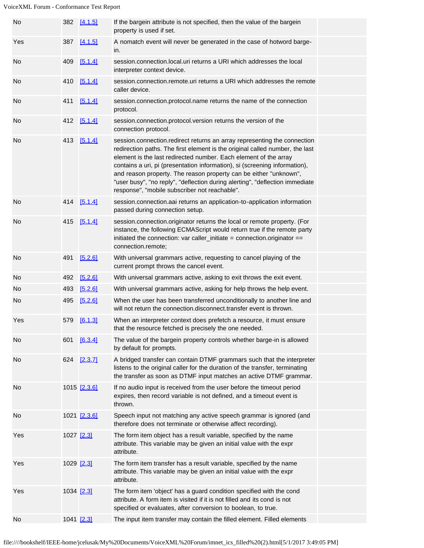| No  |            | 382 [4.1.5]  | If the bargein attribute is not specified, then the value of the bargein<br>property is used if set.                                                                                                                                                                                                                                                                                                                                                                                                             |  |
|-----|------------|--------------|------------------------------------------------------------------------------------------------------------------------------------------------------------------------------------------------------------------------------------------------------------------------------------------------------------------------------------------------------------------------------------------------------------------------------------------------------------------------------------------------------------------|--|
| Yes |            | 387 [4.1.5]  | A nomatch event will never be generated in the case of hotword barge-<br>in.                                                                                                                                                                                                                                                                                                                                                                                                                                     |  |
| No  | 409        | [5.1.4]      | session.connection.local.uri returns a URI which addresses the local<br>interpreter context device.                                                                                                                                                                                                                                                                                                                                                                                                              |  |
| No  | 410        | [5.1.4]      | session.connection.remote.uri returns a URI which addresses the remote<br>caller device.                                                                                                                                                                                                                                                                                                                                                                                                                         |  |
| No  | 411        | [5.1.4]      | session.connection.protocol.name returns the name of the connection<br>protocol.                                                                                                                                                                                                                                                                                                                                                                                                                                 |  |
| No  | 412        | [5.1.4]      | session.connection.protocol.version returns the version of the<br>connection protocol.                                                                                                                                                                                                                                                                                                                                                                                                                           |  |
| No  | 413        | [5.1.4]      | session.connection.redirect returns an array representing the connection<br>redirection paths. The first element is the original called number, the last<br>element is the last redirected number. Each element of the array<br>contains a uri, pi (presentation information), si (screening information),<br>and reason property. The reason property can be either "unknown",<br>"user busy", "no reply", "deflection during alerting", "deflection immediate<br>response", "mobile subscriber not reachable". |  |
| No  |            | 414 [5.1.4]  | session.connection.aai returns an application-to-application information<br>passed during connection setup.                                                                                                                                                                                                                                                                                                                                                                                                      |  |
| No  |            | 415 [5.1.4]  | session.connection.originator returns the local or remote property. (For<br>instance, the following ECMAScript would return true if the remote party<br>initiated the connection: var caller_initiate = connection.originator ==<br>connection.remote;                                                                                                                                                                                                                                                           |  |
| No  | 491        | [5.2.6]      | With universal grammars active, requesting to cancel playing of the<br>current prompt throws the cancel event.                                                                                                                                                                                                                                                                                                                                                                                                   |  |
| No  | 492        | [5.2.6]      | With universal grammars active, asking to exit throws the exit event.                                                                                                                                                                                                                                                                                                                                                                                                                                            |  |
| No  | 493        | [5.2.6]      | With universal grammars active, asking for help throws the help event.                                                                                                                                                                                                                                                                                                                                                                                                                                           |  |
| No  | 495        | [5.2.6]      | When the user has been transferred unconditionally to another line and<br>will not return the connection.disconnect.transfer event is thrown.                                                                                                                                                                                                                                                                                                                                                                    |  |
| Yes | 579        | [6.1.3]      | When an interpreter context does prefetch a resource, it must ensure<br>that the resource fetched is precisely the one needed.                                                                                                                                                                                                                                                                                                                                                                                   |  |
| No  | 601        | [6.3.4]      | The value of the bargein property controls whether barge-in is allowed<br>by default for prompts.                                                                                                                                                                                                                                                                                                                                                                                                                |  |
| No  | 624        | [2.3.7]      | A bridged transfer can contain DTMF grammars such that the interpreter<br>listens to the original caller for the duration of the transfer, terminating<br>the transfer as soon as DTMF input matches an active DTMF grammar.                                                                                                                                                                                                                                                                                     |  |
| No  |            | 1015 [2.3.6] | If no audio input is received from the user before the timeout period<br>expires, then record variable is not defined, and a timeout event is<br>thrown.                                                                                                                                                                                                                                                                                                                                                         |  |
| No  |            | 1021 [2.3.6] | Speech input not matching any active speech grammar is ignored (and<br>therefore does not terminate or otherwise affect recording).                                                                                                                                                                                                                                                                                                                                                                              |  |
| Yes | 1027 [2.3] |              | The form item object has a result variable, specified by the name<br>attribute. This variable may be given an initial value with the expr<br>attribute.                                                                                                                                                                                                                                                                                                                                                          |  |
| Yes | 1029 [2.3] |              | The form item transfer has a result variable, specified by the name<br>attribute. This variable may be given an initial value with the expr<br>attribute.                                                                                                                                                                                                                                                                                                                                                        |  |
| Yes | 1034 [2.3] |              | The form item 'object' has a guard condition specified with the cond<br>attribute. A form item is visited if it is not filled and its cond is not<br>specified or evaluates, after conversion to boolean, to true.                                                                                                                                                                                                                                                                                               |  |
| No  | 1041 [2.3] |              | The input item transfer may contain the filled element. Filled elements                                                                                                                                                                                                                                                                                                                                                                                                                                          |  |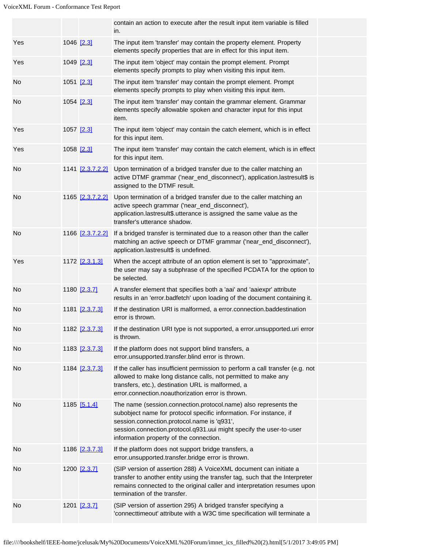|     |                  | contain an action to execute after the result input item variable is filled<br>in.                                                                                                                                                                                                                     |  |
|-----|------------------|--------------------------------------------------------------------------------------------------------------------------------------------------------------------------------------------------------------------------------------------------------------------------------------------------------|--|
| Yes | 1046 [2.3]       | The input item 'transfer' may contain the property element. Property<br>elements specify properties that are in effect for this input item.                                                                                                                                                            |  |
| Yes | 1049 [2.3]       | The input item 'object' may contain the prompt element. Prompt<br>elements specify prompts to play when visiting this input item.                                                                                                                                                                      |  |
| No  | 1051 [2.3]       | The input item 'transfer' may contain the prompt element. Prompt<br>elements specify prompts to play when visiting this input item.                                                                                                                                                                    |  |
| No  | 1054 [2.3]       | The input item 'transfer' may contain the grammar element. Grammar<br>elements specify allowable spoken and character input for this input<br>item.                                                                                                                                                    |  |
| Yes | 1057 [2.3]       | The input item 'object' may contain the catch element, which is in effect<br>for this input item.                                                                                                                                                                                                      |  |
| Yes | 1058 [2.3]       | The input item 'transfer' may contain the catch element, which is in effect<br>for this input item.                                                                                                                                                                                                    |  |
| No  | 1141 [2.3.7.2.2] | Upon termination of a bridged transfer due to the caller matching an<br>active DTMF grammar ('near_end_disconnect'), application.lastresult\$ is<br>assigned to the DTMF result.                                                                                                                       |  |
| No  | 1165 [2.3.7.2.2] | Upon termination of a bridged transfer due to the caller matching an<br>active speech grammar ('near_end_disconnect'),<br>application.lastresult\$.utterance is assigned the same value as the<br>transfer's utterance shadow.                                                                         |  |
| No  | 1166 [2.3.7.2.2] | If a bridged transfer is terminated due to a reason other than the caller<br>matching an active speech or DTMF grammar ('near_end_disconnect'),<br>application.lastresult\$ is undefined.                                                                                                              |  |
| Yes | 1172 [2.3.1.3]   | When the accept attribute of an option element is set to "approximate",<br>the user may say a subphrase of the specified PCDATA for the option to<br>be selected.                                                                                                                                      |  |
| No  | 1180 [2.3.7]     | A transfer element that specifies both a 'aai' and 'aaiexpr' attribute<br>results in an 'error.badfetch' upon loading of the document containing it.                                                                                                                                                   |  |
| No  | 1181 [2.3.7.3]   | If the destination URI is malformed, a error connection baddestination<br>error is thrown.                                                                                                                                                                                                             |  |
| No  | 1182 [2.3.7.3]   | If the destination URI type is not supported, a error unsupported uri error<br>is thrown.                                                                                                                                                                                                              |  |
| No  | 1183 [2.3.7.3]   | If the platform does not support blind transfers, a<br>error.unsupported.transfer.blind error is thrown.                                                                                                                                                                                               |  |
| No  | 1184 [2.3.7.3]   | If the caller has insufficient permission to perform a call transfer (e.g. not<br>allowed to make long distance calls, not permitted to make any<br>transfers, etc.), destination URL is malformed, a<br>error.connection.noauthorization error is thrown.                                             |  |
| No  | 1185 [5.1.4]     | The name (session.connection.protocol.name) also represents the<br>subobject name for protocol specific information. For instance, if<br>session.connection.protocol.name is 'q931',<br>session.connection.protocol.q931.uui might specify the user-to-user<br>information property of the connection. |  |
| No  | 1186 [2.3.7.3]   | If the platform does not support bridge transfers, a<br>error.unsupported.transfer.bridge error is thrown.                                                                                                                                                                                             |  |
| No  | 1200 [2.3.7]     | (SIP version of assertion 288) A VoiceXML document can initiate a<br>transfer to another entity using the transfer tag, such that the Interpreter<br>remains connected to the original caller and interpretation resumes upon<br>termination of the transfer.                                          |  |
| No  | 1201 [2.3.7]     | (SIP version of assertion 295) A bridged transfer specifying a<br>'connecttimeout' attribute with a W3C time specification will terminate a                                                                                                                                                            |  |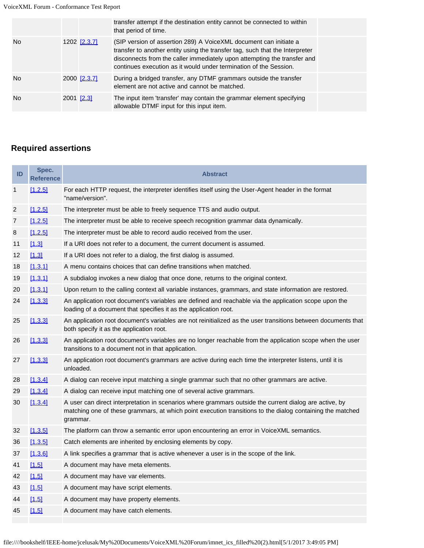|     |              | transfer attempt if the destination entity cannot be connected to within<br>that period of time.                                                                                                                                                                                                   |
|-----|--------------|----------------------------------------------------------------------------------------------------------------------------------------------------------------------------------------------------------------------------------------------------------------------------------------------------|
| No. | 1202 [2.3.7] | (SIP version of assertion 289) A VoiceXML document can initiate a<br>transfer to another entity using the transfer tag, such that the Interpreter<br>disconnects from the caller immediately upon attempting the transfer and<br>continues execution as it would under termination of the Session. |
| No. | 2000 [2.3.7] | During a bridged transfer, any DTMF grammars outside the transfer<br>element are not active and cannot be matched.                                                                                                                                                                                 |
| No. | 2001 [2.3]   | The input item 'transfer' may contain the grammar element specifying<br>allowable DTMF input for this input item.                                                                                                                                                                                  |

# **Required assertions**

| ID             | Spec.<br><b>Reference</b> | <b>Abstract</b>                                                                                                                                                                                                                 |
|----------------|---------------------------|---------------------------------------------------------------------------------------------------------------------------------------------------------------------------------------------------------------------------------|
| $\mathbf{1}$   | [1.2.5]                   | For each HTTP request, the interpreter identifies itself using the User-Agent header in the format<br>"name/version".                                                                                                           |
| $\overline{2}$ | [1.2.5]                   | The interpreter must be able to freely sequence TTS and audio output.                                                                                                                                                           |
| 7              | [1.2.5]                   | The interpreter must be able to receive speech recognition grammar data dynamically.                                                                                                                                            |
| 8              | [1.2.5]                   | The interpreter must be able to record audio received from the user.                                                                                                                                                            |
| 11             | [1.3]                     | If a URI does not refer to a document, the current document is assumed.                                                                                                                                                         |
| 12             | [1.3]                     | If a URI does not refer to a dialog, the first dialog is assumed.                                                                                                                                                               |
| 18             | [1.3.1]                   | A menu contains choices that can define transitions when matched.                                                                                                                                                               |
| 19             | [1.3.1]                   | A subdialog invokes a new dialog that once done, returns to the original context.                                                                                                                                               |
| 20             | [1.3.1]                   | Upon return to the calling context all variable instances, grammars, and state information are restored.                                                                                                                        |
| 24             | [1.3.3]                   | An application root document's variables are defined and reachable via the application scope upon the<br>loading of a document that specifies it as the application root.                                                       |
| 25             | [1.3.3]                   | An application root document's variables are not reinitialized as the user transitions between documents that<br>both specify it as the application root.                                                                       |
| 26             | [1.3.3]                   | An application root document's variables are no longer reachable from the application scope when the user<br>transitions to a document not in that application.                                                                 |
| 27             | [1.3.3]                   | An application root document's grammars are active during each time the interpreter listens, until it is<br>unloaded.                                                                                                           |
| 28             | [1.3.4]                   | A dialog can receive input matching a single grammar such that no other grammars are active.                                                                                                                                    |
| 29             | [1.3.4]                   | A dialog can receive input matching one of several active grammars.                                                                                                                                                             |
| 30             | [1.3.4]                   | A user can direct interpretation in scenarios where grammars outside the current dialog are active, by<br>matching one of these grammars, at which point execution transitions to the dialog containing the matched<br>grammar. |
| 32             | [1.3.5]                   | The platform can throw a semantic error upon encountering an error in VoiceXML semantics.                                                                                                                                       |
| 36             | [1.3.5]                   | Catch elements are inherited by enclosing elements by copy.                                                                                                                                                                     |
| 37             | [1.3.6]                   | A link specifies a grammar that is active whenever a user is in the scope of the link.                                                                                                                                          |
| 41             | [1.5]                     | A document may have meta elements.                                                                                                                                                                                              |
| 42             | [1.5]                     | A document may have var elements.                                                                                                                                                                                               |
| 43             | [1.5]                     | A document may have script elements.                                                                                                                                                                                            |
| 44             | [1.5]                     | A document may have property elements.                                                                                                                                                                                          |
| 45             | [1.5]                     | A document may have catch elements.                                                                                                                                                                                             |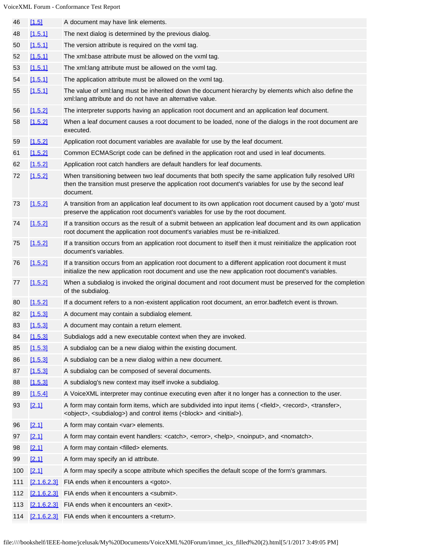| 46  | [1.5]              | A document may have link elements.                                                                                                                                                                                                             |
|-----|--------------------|------------------------------------------------------------------------------------------------------------------------------------------------------------------------------------------------------------------------------------------------|
| 48  | [1.5.1]            | The next dialog is determined by the previous dialog.                                                                                                                                                                                          |
| 50  | [1.5.1]            | The version attribute is required on the vxml tag.                                                                                                                                                                                             |
| 52  | [1.5.1]            | The xml:base attribute must be allowed on the vxml tag.                                                                                                                                                                                        |
| 53  | [1.5.1]            | The xml:lang attribute must be allowed on the vxml tag.                                                                                                                                                                                        |
| 54  | [1.5.1]            | The application attribute must be allowed on the vxml tag.                                                                                                                                                                                     |
| 55  | [1.5.1]            | The value of xml:lang must be inherited down the document hierarchy by elements which also define the<br>xml:lang attribute and do not have an alternative value.                                                                              |
| 56  | [1.5.2]            | The interpreter supports having an application root document and an application leaf document.                                                                                                                                                 |
| 58  | [1.5.2]            | When a leaf document causes a root document to be loaded, none of the dialogs in the root document are<br>executed.                                                                                                                            |
| 59  | [1.5.2]            | Application root document variables are available for use by the leaf document.                                                                                                                                                                |
| 61  | [1.5.2]            | Common ECMAScript code can be defined in the application root and used in leaf documents.                                                                                                                                                      |
| 62  | [1.5.2]            | Application root catch handlers are default handlers for leaf documents.                                                                                                                                                                       |
| 72  | [1.5.2]            | When transitioning between two leaf documents that both specify the same application fully resolved URI<br>then the transition must preserve the application root document's variables for use by the second leaf<br>document.                 |
| 73  | [1.5.2]            | A transition from an application leaf document to its own application root document caused by a 'goto' must<br>preserve the application root document's variables for use by the root document.                                                |
| 74  | [1.5.2]            | If a transition occurs as the result of a submit between an application leaf document and its own application<br>root document the application root document's variables must be re-initialized.                                               |
| 75  | [1.5.2]            | If a transition occurs from an application root document to itself then it must reinitialize the application root<br>document's variables.                                                                                                     |
| 76  | [1.5.2]            | If a transition occurs from an application root document to a different application root document it must<br>initialize the new application root document and use the new application root document's variables.                               |
| 77  | [1.5.2]            | When a subdialog is invoked the original document and root document must be preserved for the completion<br>of the subdialog.                                                                                                                  |
| 80  | [1.5.2]            | If a document refers to a non-existent application root document, an error badfetch event is thrown.                                                                                                                                           |
| 82  | [1.5.3]            | A document may contain a subdialog element.                                                                                                                                                                                                    |
| 83  | [1.5.3]            | A document may contain a return element.                                                                                                                                                                                                       |
| 84  | [1.5.3]            | Subdialogs add a new executable context when they are invoked.                                                                                                                                                                                 |
| 85  | [1.5.3]            | A subdialog can be a new dialog within the existing document.                                                                                                                                                                                  |
| 86  | [1.5.3]            | A subdialog can be a new dialog within a new document.                                                                                                                                                                                         |
| 87  | [1.5.3]            | A subdialog can be composed of several documents.                                                                                                                                                                                              |
| 88  | [1.5.3]            | A subdialog's new context may itself invoke a subdialog.                                                                                                                                                                                       |
| 89  | [1.5.4]            | A VoiceXML interpreter may continue executing even after it no longer has a connection to the user.                                                                                                                                            |
| 93  | [2.1]              | A form may contain form items, which are subdivided into input items ( <field>, <record>, <transfer>,<br/><object>, <subdialog>) and control items (<block> and <initial>).</initial></block></subdialog></object></transfer></record></field> |
| 96  | [2.1]              | A form may contain <var> elements.</var>                                                                                                                                                                                                       |
| 97  | [2.1]              | A form may contain event handlers: <catch>, <error>, <help>, <noinput>, and <nomatch>.</nomatch></noinput></help></error></catch>                                                                                                              |
| 98  | [2.1]              | A form may contain <filled> elements.</filled>                                                                                                                                                                                                 |
| 99  | [2.1]              | A form may specify an id attribute.                                                                                                                                                                                                            |
| 100 | [2.1]              | A form may specify a scope attribute which specifies the default scope of the form's grammars.                                                                                                                                                 |
| 111 | [2.1.6.2.3]        | FIA ends when it encounters a <goto>.</goto>                                                                                                                                                                                                   |
| 112 | <u>[2.1.6.2.3]</u> | FIA ends when it encounters a <submit>.</submit>                                                                                                                                                                                               |
| 113 | [2.1.6.2.3]        | FIA ends when it encounters an <exit>.</exit>                                                                                                                                                                                                  |
| 114 |                    | [2.1.6.2.3] FIA ends when it encounters a <return>.</return>                                                                                                                                                                                   |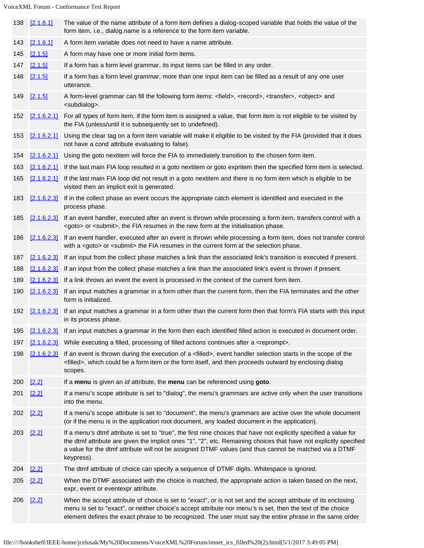| 138 | [2.1.6.1]          | The value of the name attribute of a form item defines a dialog-scoped variable that holds the value of the<br>form item, i.e., dialog.name is a reference to the form item variable.                                                                                                                                                                            |
|-----|--------------------|------------------------------------------------------------------------------------------------------------------------------------------------------------------------------------------------------------------------------------------------------------------------------------------------------------------------------------------------------------------|
| 143 | [2.1.6.1]          | A form item variable does not need to have a name attribute.                                                                                                                                                                                                                                                                                                     |
| 145 | [2.1.5]            | A form may have one or more initial form items.                                                                                                                                                                                                                                                                                                                  |
| 147 | [2.1.5]            | If a form has a form level grammar, its input items can be filled in any order.                                                                                                                                                                                                                                                                                  |
| 148 | [2.1.5]            | If a form has a form level grammar, more than one input item can be filled as a result of any one user<br>utterance.                                                                                                                                                                                                                                             |
| 149 | [2.1.5]            | A form-level grammar can fill the following form items: <field>, <record>, <transfer>, <object> and<br/><subdialog>.</subdialog></object></transfer></record></field>                                                                                                                                                                                            |
| 152 | [2.1.6.2.1]        | For all types of form item, if the form item is assigned a value, that form item is not eligible to be visited by<br>the FIA (unless/until it is subsequently set to undefined).                                                                                                                                                                                 |
| 153 | [2.1.6.2.1]        | Using the clear tag on a form item variable will make it eligible to be visited by the FIA (provided that it does<br>not have a cond attribute evaluating to false).                                                                                                                                                                                             |
| 154 | [2.1.6.2.1]        | Using the goto nextitem will force the FIA to immediately transition to the chosen form item.                                                                                                                                                                                                                                                                    |
| 163 | <u>[2.1.6.2.1]</u> | If the last main FIA loop resulted in a goto nextitem or goto expritem then the specified form item is selected.                                                                                                                                                                                                                                                 |
| 165 | [2.1.6.2.1]        | If the last main FIA loop did not result in a goto nextitem and there is no form item which is eligible to be<br>visited then an implicit exit is generated.                                                                                                                                                                                                     |
| 183 | [2.1.6.2.3]        | If in the collect phase an event occurs the appropriate catch element is identified and executed in the<br>process phase.                                                                                                                                                                                                                                        |
| 185 | [2.1.6.2.3]        | If an event handler, executed after an event is thrown while processing a form item, transfers control with a<br><goto> or <submit>, the FIA resumes in the new form at the initialisation phase.</submit></goto>                                                                                                                                                |
| 186 | [2.1.6.2.3]        | If an event handler, executed after an event is thrown while processing a form item, does not transfer control<br>with a <goto> or <submit> the FIA resumes in the current form at the selection phase.</submit></goto>                                                                                                                                          |
| 187 | <u>[2.1.6.2.3]</u> | If an input from the collect phase matches a link than the associated link's transition is executed if present.                                                                                                                                                                                                                                                  |
| 188 | [2.1.6.2.3]        | If an input from the collect phase matches a link than the associated link's event is thrown if present.                                                                                                                                                                                                                                                         |
| 189 |                    | $[2.1.6.2.3]$ If a link throws an event the event is processed in the context of the current form item.                                                                                                                                                                                                                                                          |
| 190 | [2.1.6.2.3]        | If an input matches a grammar in a form other than the current form, then the FIA terminates and the other<br>form is initialized.                                                                                                                                                                                                                               |
|     | 192 [2.1.6.2.3]    | If an input matches a grammar in a form other than the current form then that form's FIA starts with this input<br>in its process phase.                                                                                                                                                                                                                         |
| 195 |                    | [2.1.6.2.3] If an input matches a grammar in the form then each identified filled action is executed in document order.                                                                                                                                                                                                                                          |
| 197 | [2.1.6.2.3]        | While executing a filled, processing of filled actions continues after a <reprompt>.</reprompt>                                                                                                                                                                                                                                                                  |
| 198 | [2.1.6.2.3]        | If an event is thrown during the execution of a <filled>, event handler selection starts in the scope of the<br/><filled>, which could be a form item or the form itself, and then proceeds outward by enclosing dialog<br/>scopes.</filled></filled>                                                                                                            |
| 200 | [2.2]              | If a menu is given an id attribute, the menu can be referenced using goto.                                                                                                                                                                                                                                                                                       |
| 201 | [2.2]              | If a menu's scope attribute is set to "dialog", the menu's grammars are active only when the user transitions<br>into the menu.                                                                                                                                                                                                                                  |
| 202 | [2.2]              | If a menu's scope attribute is set to "document", the menu's grammars are active over the whole document<br>(or if the menu is in the application root document, any loaded document in the application).                                                                                                                                                        |
| 203 | $[2.2]$            | If a menu's dtmf attribute is set to "true", the first nine choices that have not explicitly specified a value for<br>the dtmf attribute are given the implicit ones "1", "2", etc. Remaining choices that have not explicitly specified<br>a value for the dtmf attribute will not be assigned DTMF values (and thus cannot be matched via a DTMF<br>keypress). |
| 204 | [2.2]              | The dtmf attribute of choice can specify a sequence of DTMF digits. Whitespace is ignored.                                                                                                                                                                                                                                                                       |
| 205 | $[2.2]$            | When the DTMF associated with the choice is matched, the appropriate action is taken based on the next,<br>expr, event or eventexpr attribute.                                                                                                                                                                                                                   |
| 206 | $[2.2]$            | When the accept attribute of choice is set to "exact", or is not set and the accept attribute of its enclosing<br>menu is set to "exact", or neither choice's accept attribute nor menu's is set, then the text of the choice<br>element defines the exact phrase to be recognized. The user must say the entire phrase in the same order                        |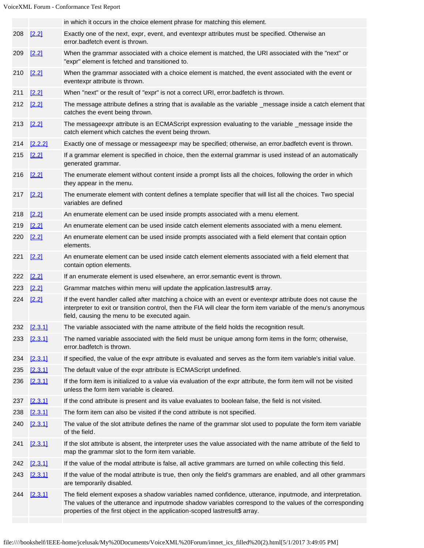|     |             | in which it occurs in the choice element phrase for matching this element.                                                                                                                                                                                                                           |
|-----|-------------|------------------------------------------------------------------------------------------------------------------------------------------------------------------------------------------------------------------------------------------------------------------------------------------------------|
|     | 208 [2.2]   | Exactly one of the next, expr, event, and eventexpr attributes must be specified. Otherwise an<br>error.badfetch event is thrown.                                                                                                                                                                    |
| 209 | $[2.2]$     | When the grammar associated with a choice element is matched, the URI associated with the "next" or<br>"expr" element is fetched and transitioned to.                                                                                                                                                |
| 210 | [2.2]       | When the grammar associated with a choice element is matched, the event associated with the event or<br>eventexpr attribute is thrown.                                                                                                                                                               |
| 211 | $[2.2]$     | When "next" or the result of "expr" is not a correct URI, error.badfetch is thrown.                                                                                                                                                                                                                  |
|     | 212 [2.2]   | The message attribute defines a string that is available as the variable _message inside a catch element that<br>catches the event being thrown.                                                                                                                                                     |
| 213 | $[2.2]$     | The messageexpr attribute is an ECMAScript expression evaluating to the variable _message inside the<br>catch element which catches the event being thrown.                                                                                                                                          |
| 214 | [2.2.2]     | Exactly one of message or messageexpr may be specified; otherwise, an error.badfetch event is thrown.                                                                                                                                                                                                |
| 215 | [2.2]       | If a grammar element is specified in choice, then the external grammar is used instead of an automatically<br>generated grammar.                                                                                                                                                                     |
| 216 | $[2.2]$     | The enumerate element without content inside a prompt lists all the choices, following the order in which<br>they appear in the menu.                                                                                                                                                                |
| 217 | [2.2]       | The enumerate element with content defines a template specifier that will list all the choices. Two special<br>variables are defined                                                                                                                                                                 |
| 218 | [2.2]       | An enumerate element can be used inside prompts associated with a menu element.                                                                                                                                                                                                                      |
| 219 | [2.2]       | An enumerate element can be used inside catch element elements associated with a menu element.                                                                                                                                                                                                       |
| 220 | [2.2]       | An enumerate element can be used inside prompts associated with a field element that contain option<br>elements.                                                                                                                                                                                     |
| 221 | $[2.2]$     | An enumerate element can be used inside catch element elements associated with a field element that<br>contain option elements.                                                                                                                                                                      |
| 222 | [2.2]       | If an enumerate element is used elsewhere, an error.semantic event is thrown.                                                                                                                                                                                                                        |
| 223 | [2.2]       | Grammar matches within menu will update the application.lastresult\$ array.                                                                                                                                                                                                                          |
| 224 | $[2.2]$     | If the event handler called after matching a choice with an event or eventexpr attribute does not cause the<br>interpreter to exit or transition control, then the FIA will clear the form item variable of the menu's anonymous<br>field, causing the menu to be executed again.                    |
|     | 232 [2.3.1] | The variable associated with the name attribute of the field holds the recognition result.                                                                                                                                                                                                           |
| 233 | [2.3.1]     | The named variable associated with the field must be unique among form items in the form; otherwise,<br>error.badfetch is thrown.                                                                                                                                                                    |
| 234 | [2.3.1]     | If specified, the value of the expr attribute is evaluated and serves as the form item variable's initial value.                                                                                                                                                                                     |
| 235 | [2.3.1]     | The default value of the expr attribute is ECMAScript undefined.                                                                                                                                                                                                                                     |
| 236 | [2.3.1]     | If the form item is initialized to a value via evaluation of the expr attribute, the form item will not be visited<br>unless the form item variable is cleared.                                                                                                                                      |
| 237 | [2.3.1]     | If the cond attribute is present and its value evaluates to boolean false, the field is not visited.                                                                                                                                                                                                 |
| 238 | [2.3.1]     | The form item can also be visited if the cond attribute is not specified.                                                                                                                                                                                                                            |
| 240 | [2.3.1]     | The value of the slot attribute defines the name of the grammar slot used to populate the form item variable<br>of the field.                                                                                                                                                                        |
| 241 | [2.3.1]     | If the slot attribute is absent, the interpreter uses the value associated with the name attribute of the field to<br>map the grammar slot to the form item variable.                                                                                                                                |
| 242 | [2.3.1]     | If the value of the modal attribute is false, all active grammars are turned on while collecting this field.                                                                                                                                                                                         |
| 243 | [2.3.1]     | If the value of the modal attribute is true, then only the field's grammars are enabled, and all other grammars<br>are temporarily disabled.                                                                                                                                                         |
| 244 | [2.3.1]     | The field element exposes a shadow variables named confidence, utterance, inputmode, and interpretation.<br>The values of the utterance and inputmode shadow variables correspond to the values of the corresponding<br>properties of the first object in the application-scoped lastresult\$ array. |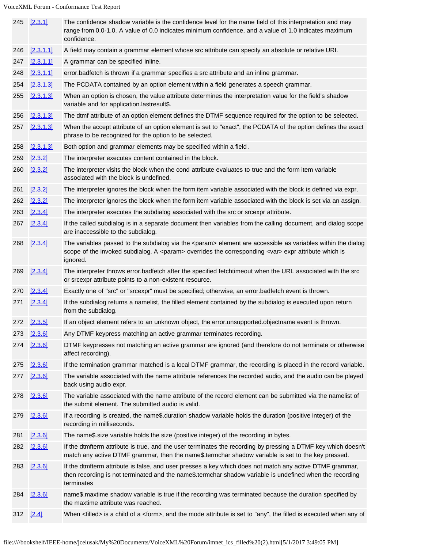|     | 245 [2.3.1] | The confidence shadow variable is the confidence level for the name field of this interpretation and may<br>range from 0.0-1.0. A value of 0.0 indicates minimum confidence, and a value of 1.0 indicates maximum<br>confidence.        |
|-----|-------------|-----------------------------------------------------------------------------------------------------------------------------------------------------------------------------------------------------------------------------------------|
| 246 | [2.3.1.1]   | A field may contain a grammar element whose src attribute can specify an absolute or relative URI.                                                                                                                                      |
| 247 | [2.3.1.1]   | A grammar can be specified inline.                                                                                                                                                                                                      |
| 248 | [2.3.1.1]   | error.badfetch is thrown if a grammar specifies a src attribute and an inline grammar.                                                                                                                                                  |
| 254 | [2.3.1.3]   | The PCDATA contained by an option element within a field generates a speech grammar.                                                                                                                                                    |
| 255 | [2.3.1.3]   | When an option is chosen, the value attribute determines the interpretation value for the field's shadow<br>variable and for application.lastresult\$.                                                                                  |
| 256 | [2.3.1.3]   | The dtmf attribute of an option element defines the DTMF sequence required for the option to be selected.                                                                                                                               |
| 257 | [2.3.1.3]   | When the accept attribute of an option element is set to "exact", the PCDATA of the option defines the exact<br>phrase to be recognized for the option to be selected.                                                                  |
| 258 | [2.3.1.3]   | Both option and grammar elements may be specified within a field.                                                                                                                                                                       |
| 259 | [2.3.2]     | The interpreter executes content contained in the block.                                                                                                                                                                                |
| 260 | [2.3.2]     | The interpreter visits the block when the cond attribute evaluates to true and the form item variable<br>associated with the block is undefined.                                                                                        |
| 261 | [2.3.2]     | The interpreter ignores the block when the form item variable associated with the block is defined via expr.                                                                                                                            |
| 262 | [2.3.2]     | The interpreter ignores the block when the form item variable associated with the block is set via an assign.                                                                                                                           |
| 263 | [2.3.4]     | The interpreter executes the subdialog associated with the src or srcexpr attribute.                                                                                                                                                    |
| 267 | [2.3.4]     | If the called subdialog is in a separate document then variables from the calling document, and dialog scope<br>are inaccessible to the subdialog.                                                                                      |
| 268 | [2.3.4]     | The variables passed to the subdialog via the <param/> element are accessible as variables within the dialog<br>scope of the invoked subdialog. A <param/> overrides the corresponding <var> expr attribute which is<br/>ignored.</var> |
| 269 | [2.3.4]     | The interpreter throws error badfetch after the specified fetchtimeout when the URL associated with the src<br>or srcexpr attribute points to a non-existent resource.                                                                  |
| 270 | [2.3.4]     | Exactly one of "src" or "srcexpr" must be specified; otherwise, an error.badfetch event is thrown.                                                                                                                                      |
| 271 | [2.3.4]     | If the subdialog returns a namelist, the filled element contained by the subdialog is executed upon return<br>from the subdialog.                                                                                                       |
|     | 272 [2.3.5] | If an object element refers to an unknown object, the error.unsupported.objectname event is thrown.                                                                                                                                     |
| 273 | [2.3.6]     | Any DTMF keypress matching an active grammar terminates recording.                                                                                                                                                                      |
| 274 | [2.3.6]     | DTMF keypresses not matching an active grammar are ignored (and therefore do not terminate or otherwise<br>affect recording).                                                                                                           |
| 275 | [2.3.6]     | If the termination grammar matched is a local DTMF grammar, the recording is placed in the record variable.                                                                                                                             |
| 277 | [2.3.6]     | The variable associated with the name attribute references the recorded audio, and the audio can be played<br>back using audio expr.                                                                                                    |
| 278 | [2.3.6]     | The variable associated with the name attribute of the record element can be submitted via the namelist of<br>the submit element. The submitted audio is valid.                                                                         |
| 279 | [2.3.6]     | If a recording is created, the name\$.duration shadow variable holds the duration (positive integer) of the<br>recording in milliseconds.                                                                                               |
| 281 | [2.3.6]     | The name\$.size variable holds the size (positive integer) of the recording in bytes.                                                                                                                                                   |
| 282 | [2.3.6]     | If the dtmfterm attribute is true, and the user terminates the recording by pressing a DTMF key which doesn't<br>match any active DTMF grammar, then the name\$.termchar shadow variable is set to the key pressed.                     |
| 283 | [2.3.6]     | If the dtmfterm attribute is false, and user presses a key which does not match any active DTMF grammar,<br>then recording is not terminated and the name\$.termchar shadow variable is undefined when the recording<br>terminates      |
| 284 | [2.3.6]     | name\$.maxtime shadow variable is true if the recording was terminated because the duration specified by<br>the maxtime attribute was reached.                                                                                          |
|     | 312 [2.4]   | When <filled> is a child of a <form>, and the mode attribute is set to "any", the filled is executed when any of</form></filled>                                                                                                        |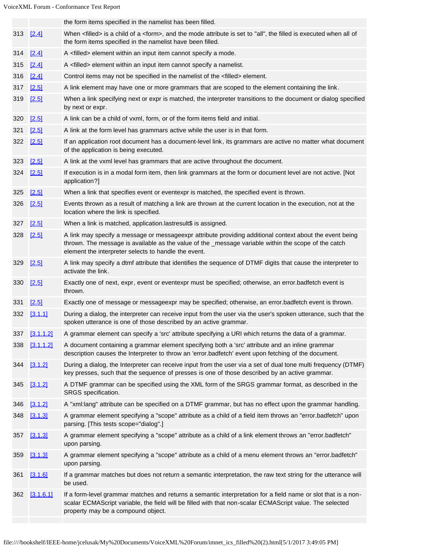|           |           | the form items specified in the namelist has been filled.                                                                                                                                                                                                                |
|-----------|-----------|--------------------------------------------------------------------------------------------------------------------------------------------------------------------------------------------------------------------------------------------------------------------------|
| 313 [2.4] |           | When <filled> is a child of a <form>, and the mode attribute is set to "all", the filled is executed when all of<br/>the form items specified in the namelist have been filled.</form></filled>                                                                          |
| 314       | [2.4]     | A <filled> element within an input item cannot specify a mode.</filled>                                                                                                                                                                                                  |
| 315       | $[2.4]$   | A <filled> element within an input item cannot specify a namelist.</filled>                                                                                                                                                                                              |
| 316       | [2.4]     | Control items may not be specified in the namelist of the <filled> element.</filled>                                                                                                                                                                                     |
| 317       | [2.5]     | A link element may have one or more grammars that are scoped to the element containing the link.                                                                                                                                                                         |
| 319       | [2.5]     | When a link specifying next or expr is matched, the interpreter transitions to the document or dialog specified<br>by next or expr.                                                                                                                                      |
| 320       | [2.5]     | A link can be a child of vxml, form, or of the form items field and initial.                                                                                                                                                                                             |
| 321       | [2.5]     | A link at the form level has grammars active while the user is in that form.                                                                                                                                                                                             |
| 322 [2.5] |           | If an application root document has a document-level link, its grammars are active no matter what document<br>of the application is being executed.                                                                                                                      |
| 323       | [2.5]     | A link at the vxml level has grammars that are active throughout the document.                                                                                                                                                                                           |
| 324 [2.5] |           | If execution is in a modal form item, then link grammars at the form or document level are not active. [Not<br>application?]                                                                                                                                             |
| 325       | [2.5]     | When a link that specifies event or eventexpr is matched, the specified event is thrown.                                                                                                                                                                                 |
| 326       | [2.5]     | Events thrown as a result of matching a link are thrown at the current location in the execution, not at the<br>location where the link is specified.                                                                                                                    |
| 327       | $[2.5]$   | When a link is matched, application.lastresult\$ is assigned.                                                                                                                                                                                                            |
| 328       | [2.5]     | A link may specify a message or messageexpr attribute providing additional context about the event being<br>thrown. The message is available as the value of the _message variable within the scope of the catch<br>element the interpreter selects to handle the event. |
| 329       | $[2.5]$   | A link may specify a dtmf attribute that identifies the sequence of DTMF digits that cause the interpreter to<br>activate the link.                                                                                                                                      |
| 330       | [2.5]     | Exactly one of next, expr, event or eventexpr must be specified; otherwise, an error.badfetch event is<br>thrown.                                                                                                                                                        |
| 331       | [2.5]     | Exactly one of message or messageexpr may be specified; otherwise, an error.badfetch event is thrown.                                                                                                                                                                    |
| 332       | [3.1.1]   | During a dialog, the interpreter can receive input from the user via the user's spoken utterance, such that the<br>spoken utterance is one of those described by an active grammar.                                                                                      |
| 337       | [3.1.1.2] | A grammar element can specify a 'src' attribute specifying a URI which returns the data of a grammar.                                                                                                                                                                    |
| 338       | [3.1.1.2] | A document containing a grammar element specifying both a 'src' attribute and an inline grammar<br>description causes the Interpreter to throw an 'error.badfetch' event upon fetching of the document.                                                                  |
| 344       | [3.1.2]   | During a dialog, the Interpreter can receive input from the user via a set of dual tone multi frequency (DTMF)<br>key presses, such that the sequence of presses is one of those described by an active grammar.                                                         |
| 345       | [3.1.2]   | A DTMF grammar can be specified using the XML form of the SRGS grammar format, as described in the<br>SRGS specification.                                                                                                                                                |
| 346       | [3.1.2]   | A "xml:lang" attribute can be specified on a DTMF grammar, but has no effect upon the grammar handling.                                                                                                                                                                  |
| 348       | [3.1.3]   | A grammar element specifying a "scope" attribute as a child of a field item throws an "error.badfetch" upon<br>parsing. [This tests scope="dialog".]                                                                                                                     |
| 357       | [3.1.3]   | A grammar element specifying a "scope" attribute as a child of a link element throws an "error.badfetch"<br>upon parsing.                                                                                                                                                |
| 359       | [3.1.3]   | A grammar element specifying a "scope" attribute as a child of a menu element throws an "error.badfetch"<br>upon parsing.                                                                                                                                                |
| 361       | [3.1.6]   | If a grammar matches but does not return a semantic interpretation, the raw text string for the utterance will<br>be used.                                                                                                                                               |
| 362       | [3.1.6.1] | If a form-level grammar matches and returns a semantic interpretation for a field name or slot that is a non-<br>scalar ECMAScript variable, the field will be filled with that non-scalar ECMAScript value. The selected<br>property may be a compound object.          |
|           |           |                                                                                                                                                                                                                                                                          |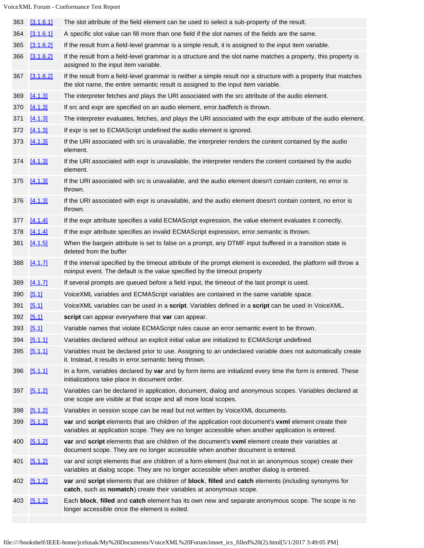| 363 | [3.1.6.1] | The slot attribute of the field element can be used to select a sub-property of the result.                                                                                                                  |
|-----|-----------|--------------------------------------------------------------------------------------------------------------------------------------------------------------------------------------------------------------|
| 364 | [3.1.6.1] | A specific slot value can fill more than one field if the slot names of the fields are the same.                                                                                                             |
| 365 | [3.1.6.2] | If the result from a field-level grammar is a simple result, it is assigned to the input item variable.                                                                                                      |
| 366 | [3.1.6.2] | If the result from a field-level grammar is a structure and the slot name matches a property, this property is<br>assigned to the input item variable.                                                       |
| 367 | [3.1.6.2] | If the result from a field-level grammar is neither a simple result nor a structure with a property that matches<br>the slot name, the entire semantic result is assigned to the input item variable.        |
| 369 | [4.1.3]   | The interpreter fetches and plays the URI associated with the src attribute of the audio element.                                                                                                            |
| 370 | [4.1.3]   | If src and expr are specified on an audio element, error badfetch is thrown.                                                                                                                                 |
| 371 | [4.1.3]   | The interpreter evaluates, fetches, and plays the URI associated with the expr attribute of the audio element.                                                                                               |
| 372 | [4.1.3]   | If expr is set to ECMAScript undefined the audio element is ignored.                                                                                                                                         |
| 373 | [4.1.3]   | If the URI associated with src is unavailable, the interpreter renders the content contained by the audio<br>element.                                                                                        |
| 374 | [4.1.3]   | If the URI associated with expr is unavailable, the interpreter renders the content contained by the audio<br>element.                                                                                       |
| 375 | [4.1.3]   | If the URI associated with src is unavailable, and the audio element doesn't contain content, no error is<br>thrown.                                                                                         |
| 376 | [4.1.3]   | If the URI associated with expr is unavailable, and the audio element doesn't contain content, no error is<br>thrown.                                                                                        |
| 377 | [4.1.4]   | If the expr attribute specifies a valid ECMAScript expression, the value element evaluates it correctly.                                                                                                     |
| 378 | [4.1.4]   | If the expr attribute specifies an invalid ECMAScript expression, error.semantic is thrown.                                                                                                                  |
| 381 | [4.1.5]   | When the bargein attribute is set to false on a prompt, any DTMF input buffered in a transition state is<br>deleted from the buffer                                                                          |
| 388 | [4.1.7]   | If the interval specified by the timeout attribute of the prompt element is exceeded, the platform will throw a<br>noinput event. The default is the value specified by the timeout property                 |
| 389 | [4.1.7]   | If several prompts are queued before a field input, the timeout of the last prompt is used.                                                                                                                  |
| 390 | [5.1]     | VoiceXML variables and ECMAScript variables are contained in the same variable space.                                                                                                                        |
| 391 | [5.1]     | VoiceXML variables can be used in a script. Variables defined in a script can be used in VoiceXML.                                                                                                           |
| 392 | [5.1]     | script can appear everywhere that var can appear.                                                                                                                                                            |
|     | 393 [5.1] | Variable names that violate ECMAScript rules cause an error.semantic event to be thrown.                                                                                                                     |
| 394 | [5.1.1]   | Variables declared without an explicit initial value are initialized to ECMAScript undefined.                                                                                                                |
| 395 | [5.1.1]   | Variables must be declared prior to use. Assigning to an undeclared variable does not automatically create<br>it. Instead, it results in error.semantic being thrown.                                        |
| 396 | [5.1.1]   | In a form, variables declared by var and by form items are initialized every time the form is entered. These<br>initializations take place in document order.                                                |
| 397 | [5.1.2]   | Variables can be declared in application, document, dialog and anonymous scopes. Variables declared at<br>one scope are visible at that scope and all more local scopes.                                     |
| 398 | [5.1.2]   | Variables in session scope can be read but not written by VoiceXML documents.                                                                                                                                |
| 399 | [5.1.2]   | var and script elements that are children of the application root document's vxml element create their<br>variables at application scope. They are no longer accessible when another application is entered. |
| 400 | [5.1.2]   | var and script elements that are children of the document's vxml element create their variables at<br>document scope. They are no longer accessible when another document is entered.                        |
| 401 | [5.1.2]   | var and script elements that are children of a form element (but not in an anonymous scope) create their<br>variables at dialog scope. They are no longer accessible when another dialog is entered.         |
| 402 | [5.1.2]   | var and script elements that are children of block, filled and catch elements (including synonyms for<br>catch, such as nomatch) create their variables at anonymous scope.                                  |
| 403 | [5.1.2]   | Each block, filled and catch element has its own new and separate anonymous scope. The scope is no<br>longer accessible once the element is exited.                                                          |
|     |           |                                                                                                                                                                                                              |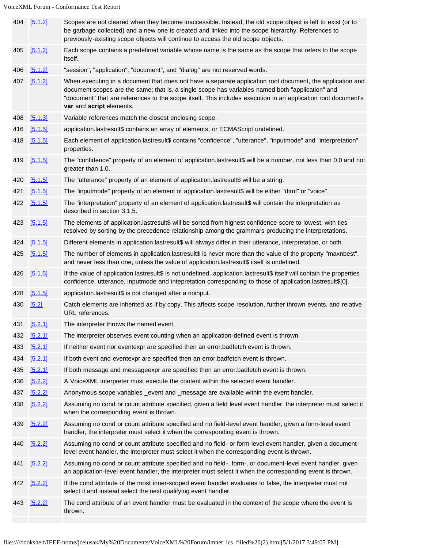|     | 404 [5.1.2] | Scopes are not cleared when they become inaccessible. Instead, the old scope object is left to exist (or to<br>be garbage collected) and a new one is created and linked into the scope hierarchy. References to<br>previously-existing scope objects will continue to access the old scope objects.                                                       |
|-----|-------------|------------------------------------------------------------------------------------------------------------------------------------------------------------------------------------------------------------------------------------------------------------------------------------------------------------------------------------------------------------|
| 405 | [5.1.2]     | Each scope contains a predefined variable whose name is the same as the scope that refers to the scope<br>itself.                                                                                                                                                                                                                                          |
| 406 | [5.1.2]     | "session", "application", "document", and "dialog" are not reserved words.                                                                                                                                                                                                                                                                                 |
| 407 | [5.1.2]     | When executing in a document that does not have a separate application root document, the application and<br>document scopes are the same; that is, a single scope has variables named both "application" and<br>"document" that are references to the scope itself. This includes execution in an application root document's<br>var and script elements. |
| 408 | [5.1.3]     | Variable references match the closest enclosing scope.                                                                                                                                                                                                                                                                                                     |
| 416 | [5.1.5]     | application.lastresult\$ contains an array of elements, or ECMAScript undefined.                                                                                                                                                                                                                                                                           |
| 418 | [5.1.5]     | Each element of application.lastresult\$ contains "confidence", "utterance", "inputmode" and "interpretation"<br>properties.                                                                                                                                                                                                                               |
| 419 | [5.1.5]     | The "confidence" property of an element of application.lastresult\$ will be a number, not less than 0.0 and not<br>greater than 1.0.                                                                                                                                                                                                                       |
| 420 | [5.1.5]     | The "utterance" property of an element of application.lastresult\$ will be a string.                                                                                                                                                                                                                                                                       |
| 421 | [5.1.5]     | The "inputmode" property of an element of application.lastresult\$ will be either "dtmf" or "voice".                                                                                                                                                                                                                                                       |
| 422 | [5.1.5]     | The "interpretation" property of an element of application.lastresult\$ will contain the interpretation as<br>described in section 3.1.5.                                                                                                                                                                                                                  |
| 423 | [5.1.5]     | The elements of application.lastresult\$ will be sorted from highest confidence score to lowest, with ties<br>resolved by sorting by the precedence relationship among the grammars producing the interpretations.                                                                                                                                         |
| 424 | [5.1.5]     | Different elements in application.lastresult\$ will always differ in their utterance, interpretation, or both.                                                                                                                                                                                                                                             |
| 425 | [5.1.5]     | The number of elements in application.lastresult\$ is never more than the value of the property "maxnbest",<br>and never less than one, unless the value of application.lastresult\$ itself is undefined.                                                                                                                                                  |
| 426 | [5.1.5]     | If the value of application.lastresult\$ is not undefined, application.lastresult\$ itself will contain the properties<br>confidence, utterance, inputmode and intepretation corresponding to those of application.lastresult\$[0].                                                                                                                        |
| 428 | [5.1.5]     | application.lastresult\$ is not changed after a noinput.                                                                                                                                                                                                                                                                                                   |
| 430 | [5.2]       | Catch elements are inherited as if by copy. This affects scope resolution, further thrown events, and relative<br>URL references.                                                                                                                                                                                                                          |
|     | 431 [5.2.1] | The interpreter throws the named event.                                                                                                                                                                                                                                                                                                                    |
| 432 | [5.2.1]     | The interpreter observes event counting when an application-defined event is thrown.                                                                                                                                                                                                                                                                       |
| 433 | [5.2.1]     | If neither event nor eventexpr are specified then an error badfetch event is thrown.                                                                                                                                                                                                                                                                       |
| 434 | [5.2.1]     | If both event and eventexpr are specified then an error badfetch event is thrown.                                                                                                                                                                                                                                                                          |
| 435 | [5.2.1]     | If both message and messageexpr are specified then an error.badfetch event is thrown.                                                                                                                                                                                                                                                                      |
| 436 | [5.2.2]     | A VoiceXML interpreter must execute the content within the selected event handler.                                                                                                                                                                                                                                                                         |
| 437 | [5.2.2]     | Anonymous scope variables _event and _message are available within the event handler.                                                                                                                                                                                                                                                                      |
| 438 | [5.2.2]     | Assuming no cond or count attribute specified, given a field level event handler, the interpreter must select it<br>when the corresponding event is thrown.                                                                                                                                                                                                |
| 439 | [5.2.2]     | Assuming no cond or count attribute specified and no field-level event handler, given a form-level event<br>handler, the interpreter must select it when the corresponding event is thrown.                                                                                                                                                                |
| 440 | [5.2.2]     | Assuming no cond or count attribute specified and no field- or form-level event handler, given a document-<br>level event handler, the interpreter must select it when the corresponding event is thrown.                                                                                                                                                  |
| 441 | [5.2.2]     | Assuming no cond or count attribute specified and no field-, form-, or document-level event handler, given<br>an application-level event handler, the interpreter must select it when the corresponding event is thrown.                                                                                                                                   |
| 442 | [5.2.2]     | If the cond attribute of the most inner-scoped event handler evaluates to false, the interpreter must not<br>select it and instead select the next qualifying event handler.                                                                                                                                                                               |
|     | 443 [5.2.2] | The cond attribute of an event handler must be evaluated in the context of the scope where the event is<br>thrown.                                                                                                                                                                                                                                         |
|     |             |                                                                                                                                                                                                                                                                                                                                                            |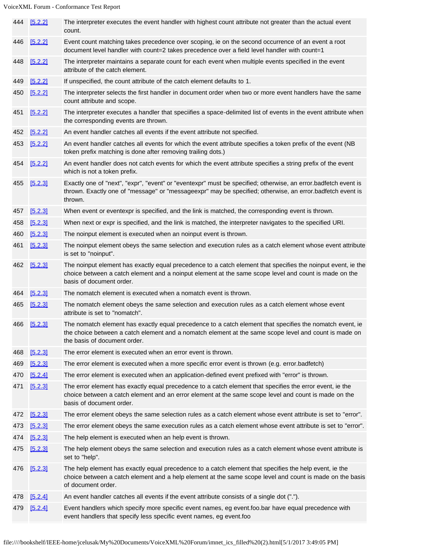|     | 444 [5.2.2] | The interpreter executes the event handler with highest count attribute not greater than the actual event<br>count.                                                                                                                               |
|-----|-------------|---------------------------------------------------------------------------------------------------------------------------------------------------------------------------------------------------------------------------------------------------|
| 446 | [5.2.2]     | Event count matching takes precedence over scoping, ie on the second occurrence of an event a root<br>document level handler with count=2 takes precedence over a field level handler with count=1                                                |
| 448 | [5.2.2]     | The interpreter maintains a separate count for each event when multiple events specified in the event<br>attribute of the catch element.                                                                                                          |
| 449 | [5.2.2]     | If unspecified, the count attribute of the catch element defaults to 1.                                                                                                                                                                           |
| 450 | [5.2.2]     | The interpreter selects the first handler in document order when two or more event handlers have the same<br>count attribute and scope.                                                                                                           |
| 451 | [5.2.2]     | The interpreter executes a handler that speciifies a space-delimited list of events in the event attribute when<br>the corresponding events are thrown.                                                                                           |
| 452 | [5.2.2]     | An event handler catches all events if the event attribute not specified.                                                                                                                                                                         |
| 453 | [5.2.2]     | An event handler catches all events for which the event attribute specifies a token prefix of the event (NB<br>token prefix matching is done after removing trailing dots.)                                                                       |
|     | 454 [5.2.2] | An event handler does not catch events for which the event attribute specifies a string prefix of the event<br>which is not a token prefix.                                                                                                       |
| 455 | [5.2.3]     | Exactly one of "next", "expr", "event" or "eventexpr" must be specified; otherwise, an error.badfetch event is<br>thrown. Exactly one of "message" or "messageexpr" may be specified; otherwise, an error.badfetch event is<br>thrown.            |
| 457 | [5.2.3]     | When event or eventexpr is specified, and the link is matched, the corresponding event is thrown.                                                                                                                                                 |
| 458 | [5.2.3]     | When next or expr is specified, and the link is matched, the interpreter navigates to the specified URI.                                                                                                                                          |
| 460 | [5.2.3]     | The noinput element is executed when an noinput event is thrown.                                                                                                                                                                                  |
| 461 | [5.2.3]     | The noinput element obeys the same selection and execution rules as a catch element whose event attribute<br>is set to "noinput".                                                                                                                 |
|     | 462 [5.2.3] | The noinput element has exactly equal precedence to a catch element that specifies the noinput event, ie the<br>choice between a catch element and a noinput element at the same scope level and count is made on the<br>basis of document order. |
| 464 | [5.2.3]     | The nomatch element is executed when a nomatch event is thrown.                                                                                                                                                                                   |
| 465 | [5.2.3]     | The nomatch element obeys the same selection and execution rules as a catch element whose event<br>attribute is set to "nomatch".                                                                                                                 |
|     | 466 [5.2.3] | The nomatch element has exactly equal precedence to a catch element that specifies the nomatch event, ie<br>the choice between a catch element and a nomatch element at the same scope level and count is made on<br>the basis of document order. |
| 468 | [5.2.3]     | The error element is executed when an error event is thrown.                                                                                                                                                                                      |
| 469 | [5.2.3]     | The error element is executed when a more specific error event is thrown (e.g. error.badfetch)                                                                                                                                                    |
| 470 | [5.2.4]     | The error element is executed when an application-defined event prefixed with "error" is thrown.                                                                                                                                                  |
| 471 | [5.2.3]     | The error element has exactly equal precedence to a catch element that specifies the error event, ie the<br>choice between a catch element and an error element at the same scope level and count is made on the<br>basis of document order.      |
| 472 | [5.2.3]     | The error element obeys the same selection rules as a catch element whose event attribute is set to "error".                                                                                                                                      |
| 473 | [5.2.3]     | The error element obeys the same execution rules as a catch element whose event attribute is set to "error".                                                                                                                                      |
| 474 | [5.2.3]     | The help element is executed when an help event is thrown.                                                                                                                                                                                        |
| 475 | [5.2.3]     | The help element obeys the same selection and execution rules as a catch element whose event attribute is<br>set to "help".                                                                                                                       |
| 476 | [5.2.3]     | The help element has exactly equal precedence to a catch element that specifies the help event, ie the<br>choice between a catch element and a help element at the same scope level and count is made on the basis<br>of document order.          |
| 478 | [5.2.4]     | An event handler catches all events if the event attribute consists of a single dot (".").                                                                                                                                                        |
| 479 | [5.2.4]     | Event handlers which specify more specific event names, eg event.foo.bar have equal precedence with<br>event handlers that specify less specific event names, eg event.foo                                                                        |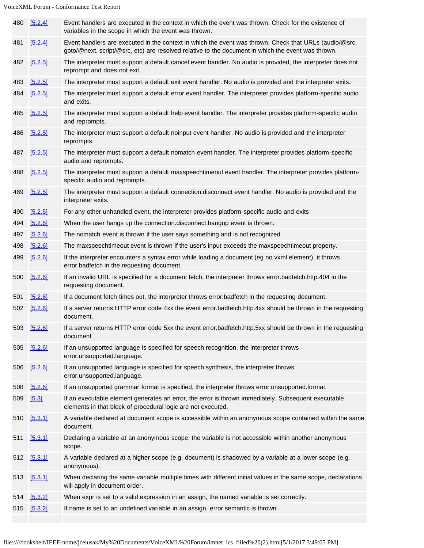| 480 | [5.2.4]     | Event handlers are executed in the context in which the event was thrown. Check for the existence of<br>variables in the scope in which the event was thrown.                                                |
|-----|-------------|--------------------------------------------------------------------------------------------------------------------------------------------------------------------------------------------------------------|
| 481 | [5.2.4]     | Event handlers are executed in the context in which the event was thrown. Check that URLs (audio/@src,<br>goto/@next, script/@src, etc) are resolved relative to the document in which the event was thrown. |
| 482 | [5.2.5]     | The interpreter must support a default cancel event handler. No audio is provided, the interpreter does not<br>reprompt and does not exit.                                                                   |
| 483 | [5.2.5]     | The interpreter must support a default exit event handler. No audio is provided and the interpreter exits.                                                                                                   |
| 484 | [5.2.5]     | The interpreter must support a default error event handler. The interpreter provides platform-specific audio<br>and exits.                                                                                   |
| 485 | [5.2.5]     | The interpreter must support a default help event handler. The interpreter provides platform-specific audio<br>and reprompts.                                                                                |
| 486 | [5.2.5]     | The interpreter must support a default noinput event handler. No audio is provided and the interpreter<br>reprompts.                                                                                         |
| 487 | [5.2.5]     | The interpreter must support a default nomatch event handler. The interpreter provides platform-specific<br>audio and reprompts.                                                                             |
| 488 | [5.2.5]     | The interpreter must support a default maxspeechtimeout event handler. The interpreter provides platform-<br>specific audio and reprompts.                                                                   |
| 489 | [5.2.5]     | The interpreter must support a default connection.disconnect event handler. No audio is provided and the<br>interpreter exits.                                                                               |
| 490 | [5.2.5]     | For any other unhandled event, the interpreter provides platform-specific audio and exits                                                                                                                    |
| 494 | [5.2.6]     | When the user hangs up the connection.disconnect.hangup event is thrown.                                                                                                                                     |
| 497 | [5.2.6]     | The nomatch event is thrown if the user says something and is not recognized.                                                                                                                                |
| 498 | [5.2.6]     | The maxspeechtimeout event is thrown if the user's input exceeds the maxspeechtimeout property.                                                                                                              |
| 499 | [5.2.6]     | If the interpreter encounters a syntax error while loading a document (eg no vxml element), it throws<br>error.badfetch in the requesting document.                                                          |
| 500 | [5.2.6]     | If an invalid URL is specified for a document fetch, the interpreter throws error.badfetch.http.404 in the<br>requesting document.                                                                           |
| 501 | [5.2.6]     | If a document fetch times out, the interpreter throws error.badfetch in the requesting document.                                                                                                             |
| 502 | [5.2.6]     | If a server returns HTTP error code 4xx the event error.badfetch.http.4xx should be thrown in the requesting<br>document.                                                                                    |
|     | 503 [5.2.6] | If a server returns HTTP error code 5xx the event error.badfetch.http.5xx should be thrown in the requesting<br>document                                                                                     |
| 505 | [5.2.6]     | If an unsupported language is specified for speech recognition, the interpreter throws<br>error.unsupported.language.                                                                                        |
| 506 | [5.2.6]     | If an unsupported language is specified for speech synthesis, the interpreter throws<br>error.unsupported.language.                                                                                          |
| 508 | [5.2.6]     | If an unsupported grammar format is specified, the interpreter throws error unsupported format.                                                                                                              |
| 509 | [5.3]       | If an executable element generates an error, the error is thrown immediately. Subsequent executable<br>elements in that block of procedural logic are not executed.                                          |
| 510 | [5.3.1]     | A variable declared at document scope is accessible within an anonymous scope contained within the same<br>document.                                                                                         |
| 511 | [5.3.1]     | Declaring a variable at an anonymous scope, the variable is not accessible within another anonymous<br>scope.                                                                                                |
| 512 | [5.3.1]     | A variable declared at a higher scope (e.g. document) is shadowed by a variable at a lower scope (e.g.<br>anonymous).                                                                                        |
| 513 | [5.3.1]     | When declaring the same variable multiple times with different initial values in the same scope, declarations<br>will apply in document order.                                                               |
| 514 | [5.3.2]     | When expr is set to a valid expression in an assign, the named variable is set correctly.                                                                                                                    |
| 515 | [5.3.2]     | If name is set to an undefined variable in an assign, error.semantic is thrown.                                                                                                                              |
|     |             |                                                                                                                                                                                                              |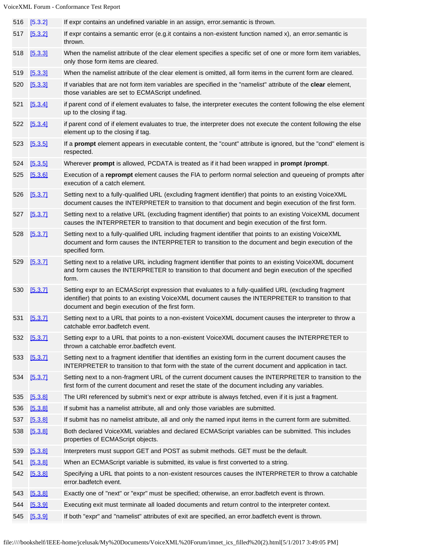| 516 | [5.3.2] | If expr contains an undefined variable in an assign, error semantic is thrown.                                                                                                                                                                                   |
|-----|---------|------------------------------------------------------------------------------------------------------------------------------------------------------------------------------------------------------------------------------------------------------------------|
| 517 | [5.3.2] | If expr contains a semantic error (e.g.it contains a non-existent function named x), an error semantic is<br>thrown.                                                                                                                                             |
| 518 | [5.3.3] | When the namelist attribute of the clear element specifies a specific set of one or more form item variables,<br>only those form items are cleared.                                                                                                              |
| 519 | [5.3.3] | When the namelist attribute of the clear element is omitted, all form items in the current form are cleared.                                                                                                                                                     |
| 520 | [5.3.3] | If variables that are not form item variables are specified in the "namelist" attribute of the clear element,<br>those variables are set to ECMAScript undefined.                                                                                                |
| 521 | [5.3.4] | if parent cond of if element evaluates to false, the interpreter executes the content following the else element<br>up to the closing if tag.                                                                                                                    |
| 522 | [5.3.4] | if parent cond of if element evaluates to true, the interpreter does not execute the content following the else<br>element up to the closing if tag.                                                                                                             |
| 523 | [5.3.5] | If a prompt element appears in executable content, the "count" attribute is ignored, but the "cond" element is<br>respected.                                                                                                                                     |
| 524 | [5.3.5] | Wherever prompt is allowed, PCDATA is treated as if it had been wrapped in prompt /prompt.                                                                                                                                                                       |
| 525 | [5.3.6] | Execution of a reprompt element causes the FIA to perform normal selection and queueing of prompts after<br>execution of a catch element.                                                                                                                        |
| 526 | [5.3.7] | Setting next to a fully-qualified URL (excluding fragment identifier) that points to an existing VoiceXML<br>document causes the INTERPRETER to transition to that document and begin execution of the first form.                                               |
| 527 | [5.3.7] | Setting next to a relative URL (excluding fragment identifier) that points to an existing VoiceXML document<br>causes the INTERPRETER to transition to that document and begin execution of the first form.                                                      |
| 528 | [5.3.7] | Setting next to a fully-qualified URL including fragment identifier that points to an existing VoiceXML<br>document and form causes the INTERPRETER to transition to the document and begin execution of the<br>specified form.                                  |
| 529 | [5.3.7] | Setting next to a relative URL including fragment identifier that points to an existing VoiceXML document<br>and form causes the INTERPRETER to transition to that document and begin execution of the specified<br>form.                                        |
| 530 | [5.3.7] | Setting expr to an ECMAScript expression that evaluates to a fully-qualified URL (excluding fragment<br>identifier) that points to an existing VoiceXML document causes the INTERPRETER to transition to that<br>document and begin execution of the first form. |
| 531 | [5.3.7] | Setting next to a URL that points to a non-existent VoiceXML document causes the interpreter to throw a<br>catchable error.badfetch event.                                                                                                                       |
| 532 | [5.3.7] | Setting expr to a URL that points to a non-existent VoiceXML document causes the INTERPRETER to<br>thrown a catchable error badfetch event.                                                                                                                      |
| 533 | [5.3.7] | Setting next to a fragment identifier that identifies an existing form in the current document causes the<br>INTERPRETER to transition to that form with the state of the current document and application in tact.                                              |
| 534 | [5.3.7] | Setting next to a non-fragment URL of the current document causes the INTERPRETER to transition to the<br>first form of the current document and reset the state of the document including any variables.                                                        |
| 535 | [5.3.8] | The URI referenced by submit's next or expr attribute is always fetched, even if it is just a fragment.                                                                                                                                                          |
| 536 | [5.3.8] | If submit has a namelist attribute, all and only those variables are submitted.                                                                                                                                                                                  |
| 537 | [5.3.8] | If submit has no namelist attribute, all and only the named input items in the current form are submitted.                                                                                                                                                       |
| 538 | [5.3.8] | Both declared VoiceXML variables and declared ECMAScript variables can be submitted. This includes<br>properties of ECMAScript objects.                                                                                                                          |
| 539 | [5.3.8] | Interpreters must support GET and POST as submit methods. GET must be the default.                                                                                                                                                                               |
| 541 | [5.3.8] | When an ECMAScript variable is submitted, its value is first converted to a string.                                                                                                                                                                              |
| 542 | [5.3.8] | Specifying a URL that points to a non-existent resources causes the INTERPRETER to throw a catchable<br>error.badfetch event.                                                                                                                                    |
| 543 | [5.3.8] | Exactly one of "next" or "expr" must be specified; otherwise, an error.badfetch event is thrown.                                                                                                                                                                 |
| 544 | [5.3.9] | Executing exit must terminate all loaded documents and return control to the interpreter context.                                                                                                                                                                |
| 545 | [5.3.9] | If both "expr" and "namelist" attributes of exit are specified, an error badfetch event is thrown.                                                                                                                                                               |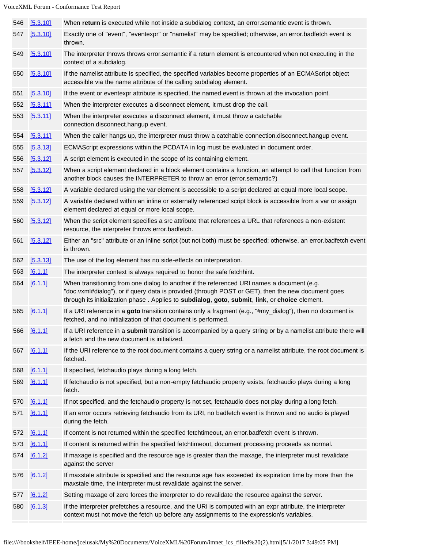| 546 | [5.3.10] | When return is executed while not inside a subdialog context, an error semantic event is thrown.                                                                                                                                                                                                    |
|-----|----------|-----------------------------------------------------------------------------------------------------------------------------------------------------------------------------------------------------------------------------------------------------------------------------------------------------|
| 547 | [5.3.10] | Exactly one of "event", "eventexpr" or "namelist" may be specified; otherwise, an error.badfetch event is<br>thrown.                                                                                                                                                                                |
| 549 | [5.3.10] | The interpreter throws throws error semantic if a return element is encountered when not executing in the<br>context of a subdialog.                                                                                                                                                                |
| 550 | [5.3.10] | If the namelist attribute is specified, the specified variables become properties of an ECMAScript object<br>accessible via the name attribute of the calling subdialog element.                                                                                                                    |
| 551 | [5.3.10] | If the event or eventexpr attribute is specified, the named event is thrown at the invocation point.                                                                                                                                                                                                |
| 552 | [5.3.11] | When the interpreter executes a disconnect element, it must drop the call.                                                                                                                                                                                                                          |
| 553 | [5.3.11] | When the interpreter executes a disconnect element, it must throw a catchable<br>connection.disconnect.hangup event.                                                                                                                                                                                |
| 554 | [5.3.11] | When the caller hangs up, the interpreter must throw a catchable connection.disconnect.hangup event.                                                                                                                                                                                                |
| 555 | [5.3.13] | ECMAScript expressions within the PCDATA in log must be evaluated in document order.                                                                                                                                                                                                                |
| 556 | [5.3.12] | A script element is executed in the scope of its containing element.                                                                                                                                                                                                                                |
| 557 | [5.3.12] | When a script element declared in a block element contains a function, an attempt to call that function from<br>another block causes the INTERPRETER to throw an error (error.semantic?)                                                                                                            |
| 558 | [5.3.12] | A variable declared using the var element is accessible to a script declared at equal more local scope.                                                                                                                                                                                             |
| 559 | [5.3.12] | A variable declared within an inline or externally referenced script block is accessible from a var or assign<br>element declared at equal or more local scope.                                                                                                                                     |
| 560 | [5.3.12] | When the script element specifies a src attribute that references a URL that references a non-existent<br>resource, the interpreter throws error.badfetch.                                                                                                                                          |
| 561 | [5.3.12] | Either an "src" attribute or an inline script (but not both) must be specified; otherwise, an error badfetch event<br>is thrown.                                                                                                                                                                    |
| 562 | [5.3.13] | The use of the log element has no side-effects on interpretation.                                                                                                                                                                                                                                   |
| 563 | [6.1.1]  | The interpreter context is always required to honor the safe fetchhint.                                                                                                                                                                                                                             |
| 564 | [6.1.1]  | When transitioning from one dialog to another if the referenced URI names a document (e.g.<br>"doc.vxml#dialog"), or if query data is provided (through POST or GET), then the new document goes<br>through its initialization phase . Applies to subdialog, goto, submit, link, or choice element. |
| 565 | [6.1.1]  | If a URI reference in a goto transition contains only a fragment (e.g., "#my_dialog"), then no document is<br>fetched, and no initialization of that document is performed.                                                                                                                         |
| 566 | [6.1.1]  | If a URI reference in a submit transition is accompanied by a query string or by a namelist attribute there will<br>a fetch and the new document is initialized.                                                                                                                                    |
| 567 | [6.1.1]  | If the URI reference to the root document contains a query string or a namelist attribute, the root document is<br>fetched.                                                                                                                                                                         |
| 568 | [6.1.1]  | If specified, fetchaudio plays during a long fetch.                                                                                                                                                                                                                                                 |
| 569 | [6.1.1]  | If fetchaudio is not specified, but a non-empty fetchaudio property exists, fetchaudio plays during a long<br>fetch.                                                                                                                                                                                |
| 570 | [6.1.1]  | If not specified, and the fetchaudio property is not set, fetchaudio does not play during a long fetch.                                                                                                                                                                                             |
| 571 | [6.1.1]  | If an error occurs retrieving fetchaudio from its URI, no badfetch event is thrown and no audio is played<br>during the fetch.                                                                                                                                                                      |
| 572 | [6.1.1]  | If content is not returned within the specified fetchtimeout, an error badfetch event is thrown.                                                                                                                                                                                                    |
| 573 | [6.1.1]  | If content is returned within the specified fetchtimeout, document processing proceeds as normal.                                                                                                                                                                                                   |
| 574 | [6.1.2]  | If maxage is specified and the resource age is greater than the maxage, the interpreter must revalidate<br>against the server                                                                                                                                                                       |
| 576 | [6.1.2]  | If maxstale attribute is specified and the resource age has exceeded its expiration time by more than the<br>maxstale time, the interpreter must revalidate against the server.                                                                                                                     |
| 577 | [6.1.2]  | Setting maxage of zero forces the interpreter to do revalidate the resource against the server.                                                                                                                                                                                                     |
| 580 | [6.1.3]  | If the interpreter prefetches a resource, and the URI is computed with an expr attribute, the interpreter<br>context must not move the fetch up before any assignments to the expression's variables.                                                                                               |
|     |          |                                                                                                                                                                                                                                                                                                     |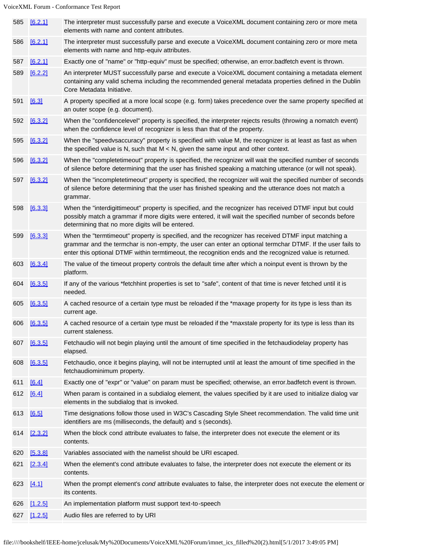|     | 585 [6.2.1] | The interpreter must successfully parse and execute a VoiceXML document containing zero or more meta<br>elements with name and content attributes.                                                                                                                                                                          |
|-----|-------------|-----------------------------------------------------------------------------------------------------------------------------------------------------------------------------------------------------------------------------------------------------------------------------------------------------------------------------|
| 586 | [6.2.1]     | The interpreter must successfully parse and execute a VoiceXML document containing zero or more meta<br>elements with name and http-equiv attributes.                                                                                                                                                                       |
| 587 | [6.2.1]     | Exactly one of "name" or "http-equiv" must be specified; otherwise, an error.badfetch event is thrown.                                                                                                                                                                                                                      |
| 589 | [6.2.2]     | An interpreter MUST successfully parse and execute a VoiceXML document containing a metadata element<br>containing any valid schema including the recommended general metadata properties defined in the Dublin<br>Core Metadata Initiative.                                                                                |
| 591 | [6.3]       | A property specified at a more local scope (e.g. form) takes precedence over the same property specified at<br>an outer scope (e.g. document).                                                                                                                                                                              |
| 592 | [6.3.2]     | When the "confidencelevel" property is specified, the interpreter rejects results (throwing a nomatch event)<br>when the confidence level of recognizer is less than that of the property.                                                                                                                                  |
| 595 | [6.3.2]     | When the "speedvsaccuracy" property is specified with value M, the recognizer is at least as fast as when<br>the specified value is N, such that $M < N$ , given the same input and other context.                                                                                                                          |
| 596 | [6.3.2]     | When the "completetimeout" property is specified, the recognizer will wait the specified number of seconds<br>of silence before determining that the user has finished speaking a matching utterance (or will not speak).                                                                                                   |
| 597 | [6.3.2]     | When the "incompletetimeout" property is specified, the recognizer will wait the specified number of seconds<br>of silence before determining that the user has finished speaking and the utterance does not match a<br>grammar.                                                                                            |
| 598 | [6.3.3]     | When the "interdigittimeout" property is specified, and the recognizer has received DTMF input but could<br>possibly match a grammar if more digits were entered, it will wait the specified number of seconds before<br>determining that no more digits will be entered.                                                   |
| 599 | [6.3.3]     | When the "termtimeout" property is specified, and the recognizer has received DTMF input matching a<br>grammar and the termchar is non-empty, the user can enter an optional termchar DTMF. If the user fails to<br>enter this optional DTMF within termtimeout, the recognition ends and the recognized value is returned. |
| 603 | [6.3.4]     | The value of the timeout property controls the default time after which a noinput event is thrown by the<br>platform.                                                                                                                                                                                                       |
| 604 | [6.3.5]     | If any of the various *fetchhint properties is set to "safe", content of that time is never fetched until it is<br>needed.                                                                                                                                                                                                  |
| 605 | [6.3.5]     | A cached resource of a certain type must be reloaded if the *maxage property for its type is less than its<br>current age.                                                                                                                                                                                                  |
| 606 | [6.3.5]     | A cached resource of a certain type must be reloaded if the *maxstale property for its type is less than its<br>current staleness.                                                                                                                                                                                          |
| 607 | [6.3.5]     | Fetchaudio will not begin playing until the amount of time specified in the fetchaudiodelay property has<br>elapsed.                                                                                                                                                                                                        |
| 608 | [6.3.5]     | Fetchaudio, once it begins playing, will not be interrupted until at least the amount of time specified in the<br>fetchaudiominimum property.                                                                                                                                                                               |
| 611 | [6.4]       | Exactly one of "expr" or "value" on param must be specified; otherwise, an error.badfetch event is thrown.                                                                                                                                                                                                                  |
| 612 | [6.4]       | When param is contained in a subdialog element, the values specified by it are used to initialize dialog var<br>elements in the subdialog that is invoked.                                                                                                                                                                  |
| 613 | [6.5]       | Time designations follow those used in W3C's Cascading Style Sheet recommendation. The valid time unit<br>identifiers are ms (milliseconds, the default) and s (seconds).                                                                                                                                                   |
| 614 | [2.3.2]     | When the block cond attribute evaluates to false, the interpreter does not execute the element or its<br>contents.                                                                                                                                                                                                          |
| 620 | [5.3.8]     | Variables associated with the namelist should be URI escaped.                                                                                                                                                                                                                                                               |
| 621 | [2.3.4]     | When the element's cond attribute evaluates to false, the interpreter does not execute the element or its<br>contents.                                                                                                                                                                                                      |
| 623 | [4.1]       | When the prompt element's cond attribute evaluates to false, the interpreter does not execute the element or<br>its contents.                                                                                                                                                                                               |
| 626 | [1.2.5]     | An implementation platform must support text-to-speech                                                                                                                                                                                                                                                                      |
| 627 | [1.2.5]     | Audio files are referred to by URI                                                                                                                                                                                                                                                                                          |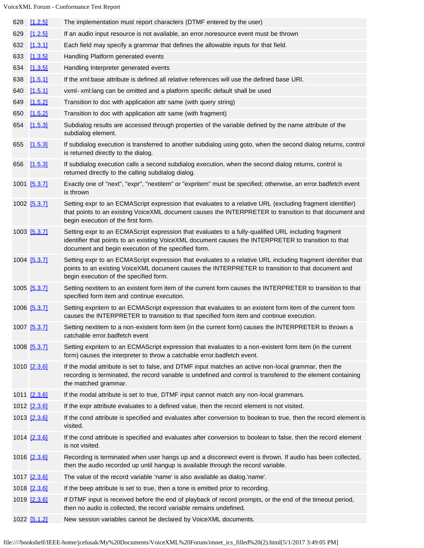| 628 | [1.2.5]      | The implementation must report characters (DTMF entered by the user)                                                                                                                                                                                               |
|-----|--------------|--------------------------------------------------------------------------------------------------------------------------------------------------------------------------------------------------------------------------------------------------------------------|
| 629 | [1.2.5]      | If an audio input resource is not available, an error noresource event must be thrown                                                                                                                                                                              |
| 632 | [1.3.1]      | Each field may specify a grammar that defines the allowable inputs for that field.                                                                                                                                                                                 |
| 633 | [1.3.5]      | Handling Platform generated events                                                                                                                                                                                                                                 |
| 634 | [1.3.5]      | Handling Interpreter generated events                                                                                                                                                                                                                              |
| 638 | [1.5.1]      | If the xml:base attribute is defined all relative references will use the defined base URI.                                                                                                                                                                        |
| 640 | [1.5.1]      | vxml- xml: lang can be omitted and a platform specific default shall be used                                                                                                                                                                                       |
| 649 | [1.5.2]      | Transition to doc with application attr same (with query string)                                                                                                                                                                                                   |
| 650 | [1.5.2]      | Transition to doc with application attr same (with fragment)                                                                                                                                                                                                       |
| 654 | [1.5.3]      | Subdialog results are accessed through properties of the variable defined by the name attribute of the<br>subdialog element.                                                                                                                                       |
| 655 | [1.5.3]      | If subdialog execution is transferred to another subdialog using goto, when the second dialog returns, control<br>is returned directly to the dialog.                                                                                                              |
|     | 656 [1.5.3]  | If subdialog execution calls a second subdialog execution, when the second dialog returns, control is<br>returned directly to the calling subdialog dialog.                                                                                                        |
|     | 1001 [5.3.7] | Exactly one of "next", "expr", "nextitem" or "expritem" must be specified; otherwise, an error.badfetch event<br>is thrown                                                                                                                                         |
|     | 1002 [5.3.7] | Setting expr to an ECMAScript expression that evaluates to a relative URL (excluding fragment identifier)<br>that points to an existing VoiceXML document causes the INTERPRETER to transition to that document and<br>begin execution of the first form.          |
|     | 1003 [5.3.7] | Setting expr to an ECMAScript expression that evaluates to a fully-qualified URL including fragment<br>identifier that points to an existing VoiceXML document causes the INTERPRETER to transition to that<br>document and begin execution of the specified form. |
|     | 1004 [5.3.7] | Setting expr to an ECMAScript expression that evaluates to a relative URL including fragment identifier that<br>points to an existing VoiceXML document causes the INTERPRETER to transition to that document and<br>begin execution of the specified form.        |
|     | 1005 [5.3.7] | Setting nextitem to an existent form item of the current form causes the INTERPRETER to transition to that<br>specified form item and continue execution.                                                                                                          |
|     | 1006 [5.3.7] | Setting expritem to an ECMAScript expression that evaluates to an existent form item of the current form<br>causes the INTERPRETER to transition to that specified form item and continue execution.                                                               |
|     | 1007 [5.3.7] | Setting nextitem to a non-existent form item (in the current form) causes the INTERPRETER to thrown a<br>catchable error.badfetch event                                                                                                                            |
|     | 1008 [5.3.7] | Setting expritem to an ECMAScript expression that evaluates to a non-existent form item (in the current<br>form) causes the interpreter to throw a catchable error.badfetch event.                                                                                 |
|     | 1010 [2.3.6] | If the modal attribute is set to false, and DTMF input matches an active non-local grammar, then the<br>recording is terminated, the record variable is undefined and control is transfered to the element containing<br>the matched grammar.                      |
|     | 1011 [2.3.6] | If the modal attribute is set to true, DTMF input cannot match any non-local grammars.                                                                                                                                                                             |
|     | 1012 [2.3.6] | If the expr attribute evaluates to a defined value, then the record element is not visited.                                                                                                                                                                        |
|     | 1013 [2.3.6] | If the cond attribute is specified and evaluates after conversion to boolean to true, then the record element is<br>visited.                                                                                                                                       |
|     | 1014 [2.3.6] | If the cond attribute is specified and evaluates after conversion to boolean to false, then the record element<br>is not visited.                                                                                                                                  |
|     | 1016 [2.3.6] | Recording is terminated when user hangs up and a disconnect event is thrown. If audio has been collected,<br>then the audio recorded up until hangup is available through the record variable.                                                                     |
|     | 1017 [2.3.6] | The value of the record variable 'name' is also available as dialog.'name'.                                                                                                                                                                                        |
|     | 1018 [2.3.6] | If the beep attribute is set to true, then a tone is emitted prior to recording.                                                                                                                                                                                   |
|     | 1019 [2.3.6] | If DTMF input is received before the end of playback of record prompts, or the end of the timeout period,<br>then no audio is collected, the record variable remains undefined.                                                                                    |
|     | 1022 [5.1.2] | New session variables cannot be declared by VoiceXML documents.                                                                                                                                                                                                    |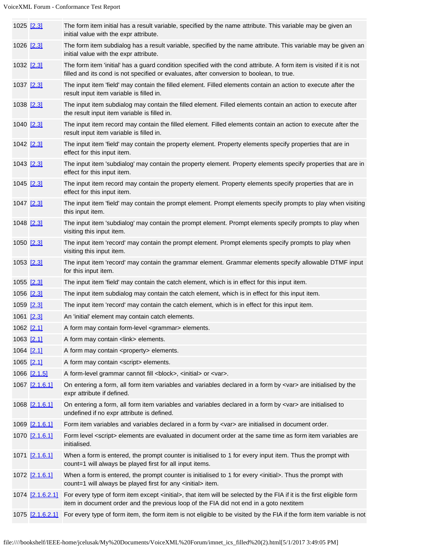| 1025 [2.3] |  | The form item initial has a result variable, specified by the name attribute. This variable may be given an<br>initial value with the expr attribute.                                                            |
|------------|--|------------------------------------------------------------------------------------------------------------------------------------------------------------------------------------------------------------------|
| 1026 [2.3] |  | The form item subdialog has a result variable, specified by the name attribute. This variable may be given an<br>initial value with the expr attribute.                                                          |
| 1032 [2.3] |  | The form item 'initial' has a guard condition specified with the cond attribute. A form item is visited if it is not<br>filled and its cond is not specified or evaluates, after conversion to boolean, to true. |
| 1037 [2.3] |  | The input item 'field' may contain the filled element. Filled elements contain an action to execute after the<br>result input item variable is filled in.                                                        |
| 1038 [2.3] |  | The input item subdialog may contain the filled element. Filled elements contain an action to execute after<br>the result input item variable is filled in.                                                      |
| 1040 [2.3] |  | The input item record may contain the filled element. Filled elements contain an action to execute after the<br>result input item variable is filled in.                                                         |
| 1042 [2.3] |  | The input item 'field' may contain the property element. Property elements specify properties that are in<br>effect for this input item.                                                                         |
| 1043 [2.3] |  | The input item 'subdialog' may contain the property element. Property elements specify properties that are in<br>effect for this input item.                                                                     |
| 1045 [2.3] |  | The input item record may contain the property element. Property elements specify properties that are in<br>effect for this input item.                                                                          |
| 1047 [2.3] |  | The input item 'field' may contain the prompt element. Prompt elements specify prompts to play when visiting<br>this input item.                                                                                 |
| 1048 [2.3] |  | The input item 'subdialog' may contain the prompt element. Prompt elements specify prompts to play when<br>visiting this input item.                                                                             |
| 1050 [2.3] |  | The input item 'record' may contain the prompt element. Prompt elements specify prompts to play when<br>visiting this input item.                                                                                |
| 1053 [2.3] |  | The input item 'record' may contain the grammar element. Grammar elements specify allowable DTMF input<br>for this input item.                                                                                   |
| 1055 [2.3] |  | The input item 'field' may contain the catch element, which is in effect for this input item.                                                                                                                    |
| 1056 [2.3] |  | The input item subdialog may contain the catch element, which is in effect for this input item.                                                                                                                  |
| 1059 [2.3] |  | The input item 'record' may contain the catch element, which is in effect for this input item.                                                                                                                   |
| 1061 [2.3] |  | An 'initial' element may contain catch elements.                                                                                                                                                                 |
| 1062 [2.1] |  | A form may contain form-level <grammar> elements.</grammar>                                                                                                                                                      |
| 1063 [2.1] |  | A form may contain <link/> elements.                                                                                                                                                                             |
| 1064 [2.1] |  | A form may contain <property> elements.</property>                                                                                                                                                               |
| 1065 [2.1] |  | A form may contain <script></script>                                                                                                                                                                             |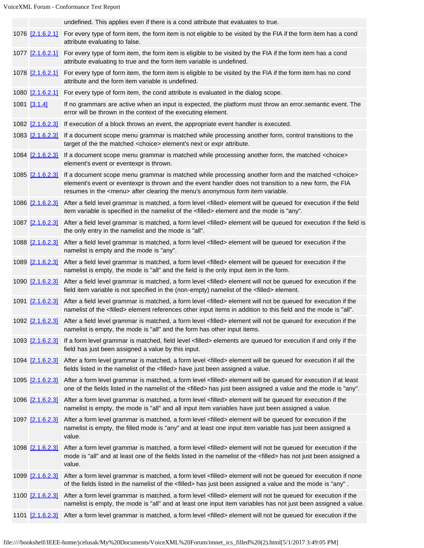|                         | undefined. This applies even if there is a cond attribute that evaluates to true.                                                                                                                                                                                                                                                 |
|-------------------------|-----------------------------------------------------------------------------------------------------------------------------------------------------------------------------------------------------------------------------------------------------------------------------------------------------------------------------------|
|                         | 1076 [2.1.6.2.1] For every type of form item, the form item is not eligible to be visited by the FIA if the form item has a cond                                                                                                                                                                                                  |
|                         | attribute evaluating to false.                                                                                                                                                                                                                                                                                                    |
|                         | 1077 [2.1.6.2.1] For every type of form item, the form item is eligible to be visited by the FIA if the form item has a cond<br>attribute evaluating to true and the form item variable is undefined.                                                                                                                             |
|                         | 1078 [2.1.6.2.1] For every type of form item, the form item is eligible to be visited by the FIA if the form item has no cond<br>attribute and the form item variable is undefined.                                                                                                                                               |
|                         | 1080 [2.1.6.2.1] For every type of form item, the cond attribute is evaluated in the dialog scope.                                                                                                                                                                                                                                |
| 1081 [3.1.4]            | If no grammars are active when an input is expected, the platform must throw an error.semantic event. The<br>error will be thrown in the context of the executing element.                                                                                                                                                        |
|                         | 1082 [2.1.6.2.3] If execution of a block throws an event, the appropriate event handler is executed.                                                                                                                                                                                                                              |
|                         | 1083 [2.1.6.2.3] If a document scope menu grammar is matched while processing another form, control transitions to the<br>target of the the matched <choice> element's next or expr attribute.</choice>                                                                                                                           |
|                         | 1084 [2.1.6.2.3] If a document scope menu grammar is matched while processing another form, the matched <choice><br/>element's event or eventexpr is thrown.</choice>                                                                                                                                                             |
|                         | 1085 [2.1.6.2.3] If a document scope menu grammar is matched while processing another form and the matched <choice><br/>element's event or eventexpr is thrown and the event handler does not transition to a new form, the FIA<br/>resumes in the <menu> after clearing the menu's anonymous form item variable.</menu></choice> |
|                         | 1086 [2.1.6.2.3] After a field level grammar is matched, a form level <filled> element will be queued for execution if the field<br/>item variable is specified in the namelist of the <filled> element and the mode is "any".</filled></filled>                                                                                  |
|                         | 1087 [2.1.6.2.3] After a field level grammar is matched, a form level <filled> element will be queued for execution if the field is<br/>the only entry in the namelist and the mode is "all".</filled>                                                                                                                            |
|                         | 1088 [2.1.6.2.3] After a field level grammar is matched, a form level <filled> element will be queued for execution if the<br/>namelist is empty and the mode is "any".</filled>                                                                                                                                                  |
| 1089 [2.1.6.2.3]        | After a field level grammar is matched, a form level <filled> element will be queued for execution if the<br/>namelist is empty, the mode is "all" and the field is the only input item in the form.</filled>                                                                                                                     |
|                         | 1090 [2.1.6.2.3] After a field level grammar is matched, a form level <filled> element will not be queued for execution if the<br/>field item variable is not specified in the (non-empty) namelist of the <filled> element.</filled></filled>                                                                                    |
| 1091 [2.1.6.2.3]        | After a field level grammar is matched, a form level <filled> element will not be queued for execution if the<br/>namelist of the <filled> element references other input items in addition to this field and the mode is "all".</filled></filled>                                                                                |
|                         | 1092 [2.1.6.2.3] After a field level grammar is matched, a form level <filled> element will not be queued for execution if the<br/>namelist is empty, the mode is "all" and the form has other input items.</filled>                                                                                                              |
|                         | 1093 [2.1.6.2.3] If a form level grammar is matched, field level <filled> elements are queued for execution if and only if the<br/>field has just been assigned a value by this input.</filled>                                                                                                                                   |
|                         | 1094 [2.1.6.2.3] After a form level grammar is matched, a form level <filled> element will be queued for execution if all the<br/>fields listed in the namelist of the <filled> have just been assigned a value.</filled></filled>                                                                                                |
|                         | 1095 [2.1.6.2.3] After a form level grammar is matched, a form level <filled> element will be queued for execution if at least<br/>one of the fields listed in the namelist of the <filled> has just been assigned a value and the mode is "any".</filled></filled>                                                               |
| 1096 [2.1.6.2.3]        | After a form level grammar is matched, a form level <filled> element will be queued for execution if the<br/>namelist is empty, the mode is "all" and all input item variables have just been assigned a value.</filled>                                                                                                          |
| 1097 <u>[2.1.6.2.3]</u> | After a form level grammar is matched, a form level <filled> element will be queued for execution if the<br/>namelist is empty, the filled mode is "any" and at least one input item variable has just been assigned a<br/>value.</filled>                                                                                        |
| 1098 [2.1.6.2.3]        | After a form level grammar is matched, a form level <filled> element will not be queued for execution if the<br/>mode is "all" and at least one of the fields listed in the namelist of the <filled> has not just been assigned a<br/>value.</filled></filled>                                                                    |
| 1099 [2.1.6.2.3]        | After a form level grammar is matched, a form level <filled> element will not be queued for execution if none<br/>of the fields listed in the namelist of the <filled> has just been assigned a value and the mode is "any".</filled></filled>                                                                                    |
| 1100 [2.1.6.2.3]        | After a form level grammar is matched, a form level <filled> element will not be queued for execution if the<br/>namelist is empty, the mode is "all" and at least one input item variables has not just been assigned a value.</filled>                                                                                          |
|                         | 1101 [2.1.6.2.3] After a form level grammar is matched, a form level <filled> element will not be queued for execution if the</filled>                                                                                                                                                                                            |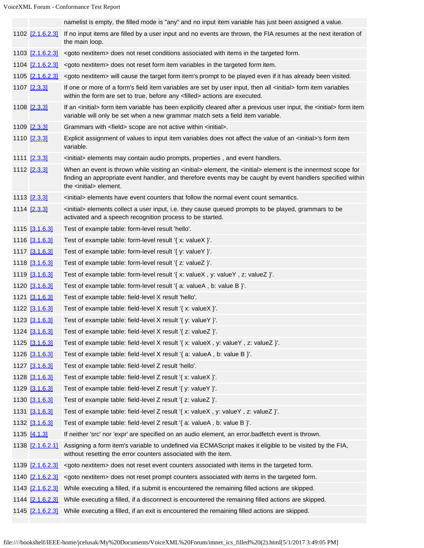|                         | namelist is empty, the filled mode is "any" and no input item variable has just been assigned a value.                                                                                                                                                                                 |
|-------------------------|----------------------------------------------------------------------------------------------------------------------------------------------------------------------------------------------------------------------------------------------------------------------------------------|
| 1102 [2.1.6.2.3]        | If no input items are filled by a user input and no events are thrown, the FIA resumes at the next iteration of                                                                                                                                                                        |
|                         | the main loop.                                                                                                                                                                                                                                                                         |
|                         | 1103 [2.1.6.2.3] <goto nextitem=""> does not reset conditions associated with items in the targeted form.</goto>                                                                                                                                                                       |
| 1104 [2.1.6.2.3]        | <goto nextitem=""> does not reset form item variables in the targeted form item.</goto>                                                                                                                                                                                                |
| 1105 [2.1.6.2.3]        | <goto nextitem=""> will cause the target form item's prompt to be played even if it has already been visited.</goto>                                                                                                                                                                   |
| 1107 [2.3.3]            | If one or more of a form's field item variables are set by user input, then all <initial> form item variables<br/>within the form are set to true, before any <filled> actions are executed.</filled></initial>                                                                        |
| 1108 [2.3.3]            | If an <initial> form item variable has been explicitly cleared after a previous user input, the <initial> form item<br/>variable will only be set when a new grammar match sets a field item variable.</initial></initial>                                                             |
| 1109 [2.3.3]            | Grammars with <field> scope are not active within <initial>.</initial></field>                                                                                                                                                                                                         |
| 1110 [2.3.3]            | Explicit assignment of values to input item variables does not affect the value of an <initial>'s form item<br/>variable.</initial>                                                                                                                                                    |
| 1111 [2.3.3]            | <initial> elements may contain audio prompts, properties, and event handlers.</initial>                                                                                                                                                                                                |
| 1112 [2.3.3]            | When an event is thrown while visiting an <initial> element, the <initial> element is the innermost scope for<br/>finding an appropriate event handler, and therefore events may be caught by event handlers specified within<br/>the <initial> element.</initial></initial></initial> |
| 1113 [2.3.3]            | <initial> elements have event counters that follow the normal event count semantics.</initial>                                                                                                                                                                                         |
| 1114 [2.3.3]            | <initial> elements collect a user input, i.e. they cause queued prompts to be played, grammars to be<br/>activated and a speech recognition process to be started.</initial>                                                                                                           |
| 1115 [3.1.6.3]          | Test of example table: form-level result 'hello'.                                                                                                                                                                                                                                      |
| 1116 [3.1.6.3]          | Test of example table: form-level result '{ x: valueX }'.                                                                                                                                                                                                                              |
| 1117 [3.1.6.3]          | Test of example table: form-level result '{ y: valueY }'.                                                                                                                                                                                                                              |
| 1118 [3.1.6.3]          | Test of example table: form-level result '{ z: valueZ }'.                                                                                                                                                                                                                              |
| 1119 [3.1.6.3]          | Test of example table: form-level result '{ x: valueX, y: valueY, z: valueZ }'.                                                                                                                                                                                                        |
| 1120 [3.1.6.3]          | Test of example table: form-level result '{ a: valueA, b: value B }'.                                                                                                                                                                                                                  |
| 1121 [3.1.6.3]          | Test of example table: field-level X result 'hello'.                                                                                                                                                                                                                                   |
| 1122 3.1.6.3            | Test of example table: field-level X result '{ x: valueX }'.                                                                                                                                                                                                                           |
| 1123 [3.1.6.3]          | Test of example table: field-level X result '{ y: valueY }'.                                                                                                                                                                                                                           |
| 1124 [3.1.6.3]          | Test of example table: field-level X result '{ z: valueZ }'.                                                                                                                                                                                                                           |
| 1125 [3.1.6.3]          | Test of example table: field-level X result '{ x: valueX, y: valueY, z: valueZ }'.                                                                                                                                                                                                     |
| 1126 [3.1.6.3]          | Test of example table: field-level X result '{ a: valueA, b: value B }'.                                                                                                                                                                                                               |
| 1127 [3.1.6.3]          | Test of example table: field-level Z result 'hello'.                                                                                                                                                                                                                                   |
| 1128 [3.1.6.3]          | Test of example table: field-level Z result $\{x: \text{valueX}\}$ .                                                                                                                                                                                                                   |
| 1129 [3.1.6.3]          | Test of example table: field-level Z result '{ y: valueY }'.                                                                                                                                                                                                                           |
| 1130 [3.1.6.3]          | Test of example table: field-level Z result '{ z: valueZ }'.                                                                                                                                                                                                                           |
| 1131 [3.1.6.3]          | Test of example table: field-level Z result '{ x: valueX, y: valueY, z: valueZ }'.                                                                                                                                                                                                     |
| 1132 [3.1.6.3]          | Test of example table: field-level Z result '{ a: valueA, b: value B }'.                                                                                                                                                                                                               |
| 1135 [4.1.3]            | If neither 'src' nor 'expr' are specified on an audio element, an error badfetch event is thrown.                                                                                                                                                                                      |
| 1138 [2.1.6.2.1]        | Assigning a form item's variable to undefined via ECMAScript makes it eligible to be visited by the FIA,<br>without resetting the error counters associated with the item.                                                                                                             |
| 1139 <u>[2.1.6.2.3]</u> | <goto nextitem=""> does not reset event counters associated with items in the targeted form.</goto>                                                                                                                                                                                    |
| 1140 [2.1.6.2.3]        | <goto nextitem=""> does not reset prompt counters associated with items in the targeted form.</goto>                                                                                                                                                                                   |
|                         | 1143 [2.1.6.2.3] While executing a filled, if a submit is encountered the remaining filled actions are skipped.                                                                                                                                                                        |
|                         | 1144 [2.1.6.2.3] While executing a filled, if a disconnect is encountered the remaining filled actions are skipped.                                                                                                                                                                    |
|                         | 1145 [2.1.6.2.3] While executing a filled, if an exit is encountered the remaining filled actions are skipped.                                                                                                                                                                         |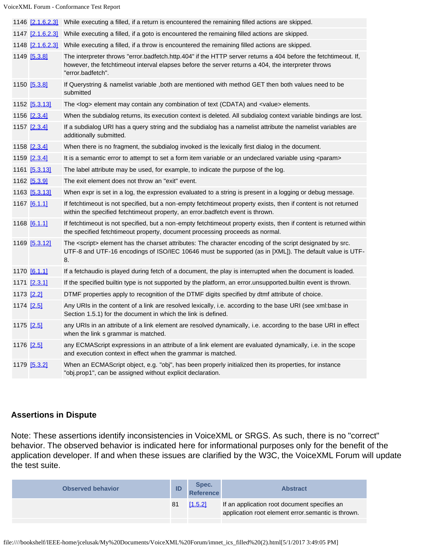|  | 1146 [2.1.6.2.3] | While executing a filled, if a return is encountered the remaining filled actions are skipped.                                                                                                                                            |
|--|------------------|-------------------------------------------------------------------------------------------------------------------------------------------------------------------------------------------------------------------------------------------|
|  | 1147 [2.1.6.2.3] | While executing a filled, if a goto is encountered the remaining filled actions are skipped.                                                                                                                                              |
|  | 1148 [2.1.6.2.3] | While executing a filled, if a throw is encountered the remaining filled actions are skipped.                                                                                                                                             |
|  | 1149 [5.3.8]     | The interpreter throws "error.badfetch.http.404" if the HTTP server returns a 404 before the fetchtimeout. If,<br>however, the fetchtimeout interval elapses before the server returns a 404, the interpreter throws<br>"error.badfetch". |
|  | 1150 [5.3.8]     | If Querystring & namelist variable , both are mentioned with method GET then both values need to be<br>submitted                                                                                                                          |
|  | 1152 [5.3.13]    | The <log> element may contain any combination of text (CDATA) and <value> elements.</value></log>                                                                                                                                         |
|  | 1156 [2.3.4]     | When the subdialog returns, its execution context is deleted. All subdialog context variable bindings are lost.                                                                                                                           |
|  | 1157 [2.3.4]     | If a subdialog URI has a query string and the subdialog has a namelist attribute the namelist variables are<br>additionally submitted.                                                                                                    |
|  | 1158 [2.3.4]     | When there is no fragment, the subdialog invoked is the lexically first dialog in the document.                                                                                                                                           |
|  | 1159 [2.3.4]     | It is a semantic error to attempt to set a form item variable or an undeclared variable using <param/>                                                                                                                                    |
|  | 1161 [5.3.13]    | The label attribute may be used, for example, to indicate the purpose of the log.                                                                                                                                                         |
|  | 1162 [5.3.9]     | The exit element does not throw an "exit" event.                                                                                                                                                                                          |
|  | 1163 [5.3.13]    | When expr is set in a log, the expression evaluated to a string is present in a logging or debug message.                                                                                                                                 |
|  | 1167 [6.1.1]     | If fetchtimeout is not specified, but a non-empty fetchtimeout property exists, then if content is not returned<br>within the specified fetchtimeout property, an error.badfetch event is thrown.                                         |
|  | 1168 [6.1.1]     | If fetchtimeout is not specified, but a non-empty fetchtimeout property exists, then if content is returned within<br>the specified fetchtimeout property, document processing proceeds as normal.                                        |
|  | 1169 [5.3.12]    | The <script></script>                                                                                                                                                                                                                     |

# **Assertions in Dispute**

Note: These assertions identify inconsistencies in VoiceXML or SRGS. As such, there is no "correct" behavior. The observed behavior is indicated here for informational purposes only for the benefit of the application developer. If and when these issues are clarified by the W3C, the VoiceXML Forum will update the test suite.

| If an application root document specifies an<br>[1.5.2]<br>81 | <b>Observed behavior</b> | ID | Spec.<br><b>Reference</b> | <b>Abstract</b>                                    |
|---------------------------------------------------------------|--------------------------|----|---------------------------|----------------------------------------------------|
|                                                               |                          |    |                           | application root element error semantic is thrown. |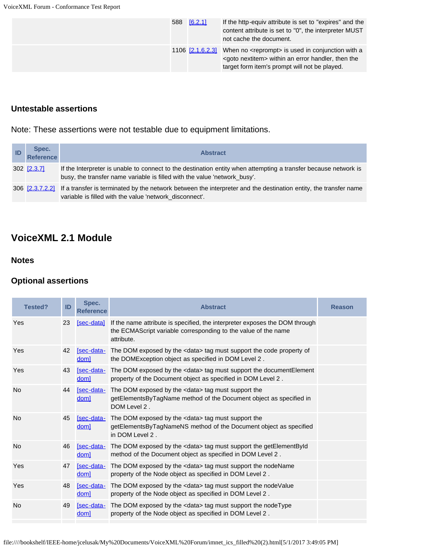|  | 588 [6.2.1]      | If the http-equiv attribute is set to "expires" and the<br>content attribute is set to "0", the interpreter MUST<br>not cache the document.                                   |
|--|------------------|-------------------------------------------------------------------------------------------------------------------------------------------------------------------------------|
|  | 1106 [2.1.6.2.3] | When no <reprompt> is used in conjunction with a<br/><goto nextitem=""> within an error handler, then the<br/>target form item's prompt will not be played.</goto></reprompt> |

# **Untestable assertions**

Note: These assertions were not testable due to equipment limitations.

| Spec.<br>Reference | <b>Abstract</b>                                                                                                                                                                              |
|--------------------|----------------------------------------------------------------------------------------------------------------------------------------------------------------------------------------------|
| 302 <u>[2.3.7]</u> | If the Interpreter is unable to connect to the destination entity when attempting a transfer because network is<br>busy, the transfer name variable is filled with the value 'network_busy'. |
|                    | 306 [2.3.7.2.2] If a transfer is terminated by the network between the interpreter and the destination entity, the transfer name<br>variable is filled with the value 'network disconnect'.  |

# **VoiceXML 2.1 Module**

## **Notes**

## **Optional assertions**

| ID | Spec.<br><b>Reference</b> | <b>Abstract</b>                                                                                                                                             | <b>Reason</b>                                                                                                                                                                  |
|----|---------------------------|-------------------------------------------------------------------------------------------------------------------------------------------------------------|--------------------------------------------------------------------------------------------------------------------------------------------------------------------------------|
| 23 | [sec-data]                | If the name attribute is specified, the interpreter exposes the DOM through<br>the ECMAScript variable corresponding to the value of the name<br>attribute. |                                                                                                                                                                                |
| 42 | doml                      | the DOMException object as specified in DOM Level 2.                                                                                                        |                                                                                                                                                                                |
| 43 | doml                      | property of the Document object as specified in DOM Level 2.                                                                                                |                                                                                                                                                                                |
| 44 | [sec-data-<br>dom]        | The DOM exposed by the <data> tag must support the<br/>getElementsByTagName method of the Document object as specified in<br/>DOM Level 2.</data>           |                                                                                                                                                                                |
| 45 | [sec-data-<br>dom]        | The DOM exposed by the <data> tag must support the<br/>getElementsByTagNameNS method of the Document object as specified<br/>in DOM Level 2.</data>         |                                                                                                                                                                                |
| 46 | [sec-data-<br>doml        | The DOM exposed by the <data> tag must support the getElementById<br/>method of the Document object as specified in DOM Level 2.</data>                     |                                                                                                                                                                                |
| 47 | [sec-data-<br>dom]        | The DOM exposed by the <data> tag must support the nodeName<br/>property of the Node object as specified in DOM Level 2.</data>                             |                                                                                                                                                                                |
| 48 | [sec-data-<br>doml        | The DOM exposed by the <data> tag must support the nodeValue<br/>property of the Node object as specified in DOM Level 2.</data>                            |                                                                                                                                                                                |
| 49 | [sec-data-<br>dom]        | The DOM exposed by the <data> tag must support the nodeType<br/>property of the Node object as specified in DOM Level 2.</data>                             |                                                                                                                                                                                |
|    |                           |                                                                                                                                                             | [sec-data- The DOM exposed by the <data> tag must support the code property of<br/>[sec-data- The DOM exposed by the <data> tag must support the documentElement</data></data> |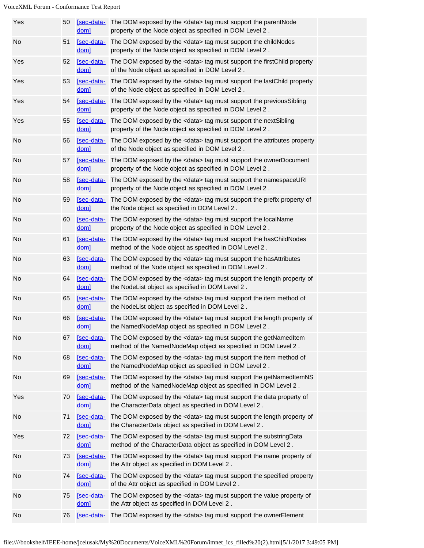| Yes | 50 | dom]                           | [sec-data- The DOM exposed by the <data> tag must support the parentNode<br/>property of the Node object as specified in DOM Level 2.</data>         |  |
|-----|----|--------------------------------|------------------------------------------------------------------------------------------------------------------------------------------------------|--|
| No  | 51 | [sec-data-<br>dom]             | The DOM exposed by the <data> tag must support the childNodes<br/>property of the Node object as specified in DOM Level 2.</data>                    |  |
| Yes | 52 | dom]                           | [sec-data- The DOM exposed by the <data> tag must support the firstChild property<br/>of the Node object as specified in DOM Level 2.</data>         |  |
| Yes | 53 | [sec-data-<br>dom <sub>1</sub> | The DOM exposed by the <data> tag must support the lastChild property<br/>of the Node object as specified in DOM Level 2.</data>                     |  |
| Yes | 54 | dom]                           | [sec-data- The DOM exposed by the <data> tag must support the previousSibling<br/>property of the Node object as specified in DOM Level 2.</data>    |  |
| Yes | 55 | [sec-data-<br>dom]             | The DOM exposed by the <data> tag must support the nextSibling<br/>property of the Node object as specified in DOM Level 2.</data>                   |  |
| No  | 56 | [sec-data-<br>dom]             | The DOM exposed by the <data> tag must support the attributes property<br/>of the Node object as specified in DOM Level 2.</data>                    |  |
| No  | 57 | dom <sub>1</sub>               | [sec-data- The DOM exposed by the <data> tag must support the ownerDocument<br/>property of the Node object as specified in DOM Level 2.</data>      |  |
| No  | 58 | [sec-data-<br>dom]             | The DOM exposed by the <data> tag must support the namespaceURI<br/>property of the Node object as specified in DOM Level 2.</data>                  |  |
| No  | 59 | [sec-data-<br>dom]             | The DOM exposed by the <data> tag must support the prefix property of<br/>the Node object as specified in DOM Level 2.</data>                        |  |
| No  | 60 | dom]                           | [sec-data- The DOM exposed by the <data> tag must support the localName<br/>property of the Node object as specified in DOM Level 2.</data>          |  |
| No  | 61 | [sec-data-<br>dom]             | The DOM exposed by the <data> tag must support the hasChildNodes<br/>method of the Node object as specified in DOM Level 2.</data>                   |  |
| No  | 63 | dom]                           | [sec-data- The DOM exposed by the <data> tag must support the hasAttributes<br/>method of the Node object as specified in DOM Level 2.</data>        |  |
| No  | 64 | [sec-data-<br>dom <sub>1</sub> | The DOM exposed by the <data> tag must support the length property of<br/>the NodeList object as specified in DOM Level 2.</data>                    |  |
| No  | 65 | dom]                           | [sec-data- The DOM exposed by the <data> tag must support the item method of<br/>the NodeList object as specified in DOM Level 2.</data>             |  |
| No  | 66 | dom]                           | [sec-data- The DOM exposed by the <data> tag must support the length property of<br/>the NamedNodeMap object as specified in DOM Level 2</data>      |  |
| No  | 67 | dom]                           | [sec-data- The DOM exposed by the <data> tag must support the getNamedItem<br/>method of the NamedNodeMap object as specified in DOM Level 2.</data> |  |
| No  | 68 | dom]                           | [sec-data- The DOM exposed by the <data> tag must support the item method of<br/>the NamedNodeMap object as specified in DOM Level 2.</data>         |  |
| No  | 69 | [sec-data-<br>dom]             | The DOM exposed by the <data> tag must support the getNamedItemNS<br/>method of the NamedNodeMap object as specified in DOM Level 2.</data>          |  |
| Yes | 70 | dom]                           | [sec-data- The DOM exposed by the <data> tag must support the data property of<br/>the CharacterData object as specified in DOM Level 2.</data>      |  |
| No  | 71 | [sec-data-<br>dom]             | The DOM exposed by the <data> tag must support the length property of<br/>the CharacterData object as specified in DOM Level 2.</data>               |  |
| Yes | 72 | [sec-data-<br>dom]             | The DOM exposed by the <data> tag must support the substringData<br/>method of the CharacterData object as specified in DOM Level 2.</data>          |  |
| No  | 73 | dom]                           | [sec-data- The DOM exposed by the <data> tag must support the name property of<br/>the Attr object as specified in DOM Level 2.</data>               |  |
| No  | 74 | [sec-data-<br>dom]             | The DOM exposed by the <data> tag must support the specified property<br/>of the Attr object as specified in DOM Level 2.</data>                     |  |
| No  | 75 | dom]                           | [sec-data- The DOM exposed by the <data> tag must support the value property of<br/>the Attr object as specified in DOM Level 2.</data>              |  |
| No  | 76 |                                | [sec-data- The DOM exposed by the <data> tag must support the ownerElement</data>                                                                    |  |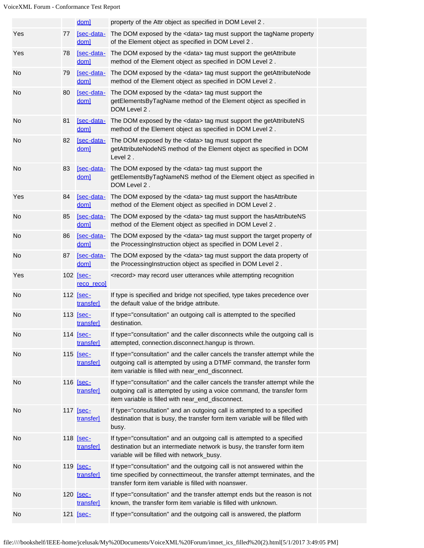|     |    | dom]                                  | property of the Attr object as specified in DOM Level 2.                                                                                                                                                      |  |
|-----|----|---------------------------------------|---------------------------------------------------------------------------------------------------------------------------------------------------------------------------------------------------------------|--|
| Yes | 77 | [sec-data-<br>dom]                    | The DOM exposed by the <data> tag must support the tagName property<br/>of the Element object as specified in DOM Level 2.</data>                                                                             |  |
| Yes | 78 | dom]                                  | [sec-data- The DOM exposed by the <data> tag must support the getAttribute<br/>method of the Element object as specified in DOM Level 2.</data>                                                               |  |
| No  | 79 | doml                                  | [sec-data- The DOM exposed by the <data> tag must support the getAttributeNode<br/>method of the Element object as specified in DOM Level 2.</data>                                                           |  |
| No  | 80 | [sec-data-<br>dom]                    | The DOM exposed by the <data> tag must support the<br/>getElementsByTagName method of the Element object as specified in<br/>DOM Level 2.</data>                                                              |  |
| No  | 81 | [sec-data-<br>doml                    | The DOM exposed by the <data> tag must support the getAttributeNS<br/>method of the Element object as specified in DOM Level 2.</data>                                                                        |  |
| No  | 82 | [sec-data-<br>dom]                    | The DOM exposed by the <data> tag must support the<br/>getAttributeNodeNS method of the Element object as specified in DOM<br/>Level 2.</data>                                                                |  |
| No  | 83 | [sec-data-<br>dom]                    | The DOM exposed by the <data> tag must support the<br/>getElementsByTagNameNS method of the Element object as specified in<br/>DOM Level 2.</data>                                                            |  |
| Yes | 84 | [sec-data-<br>dom]                    | The DOM exposed by the <data> tag must support the hasAttribute<br/>method of the Element object as specified in DOM Level 2.</data>                                                                          |  |
| No  | 85 | [sec-data-<br>dom]                    | The DOM exposed by the <data> tag must support the hasAttributeNS<br/>method of the Element object as specified in DOM Level 2.</data>                                                                        |  |
| No  | 86 | dom]                                  | [sec-data- The DOM exposed by the <data> tag must support the target property of<br/>the ProcessingInstruction object as specified in DOM Level 2.</data>                                                     |  |
| No  | 87 | [sec-data-<br>dom]                    | The DOM exposed by the <data> tag must support the data property of<br/>the ProcessingInstruction object as specified in DOM Level 2.</data>                                                                  |  |
| Yes |    | 102 <b>[sec-</b><br><u>reco</u> recol | <record> may record user utterances while attempting recognition</record>                                                                                                                                     |  |
| No  |    | 112 [sec-<br>transfer]                | If type is specified and bridge not specified, type takes precedence over<br>the default value of the bridge attribute.                                                                                       |  |
| No  |    | 113 [sec-<br>transfer]                | If type="consultation" an outgoing call is attempted to the specified<br>destination.                                                                                                                         |  |
| No  |    | 114 [sec-<br>transfer]                | If type="consultation" and the caller disconnects while the outgoing call is<br>attempted, connection.disconnect.hangup is thrown.                                                                            |  |
| No  |    | 115 [sec-<br>transfer]                | If type="consultation" and the caller cancels the transfer attempt while the<br>outgoing call is attempted by using a DTMF command, the transfer form<br>item variable is filled with near_end_disconnect.    |  |
| No  |    | 116 [sec-<br>transfer]                | If type="consultation" and the caller cancels the transfer attempt while the<br>outgoing call is attempted by using a voice command, the transfer form<br>item variable is filled with near_end_disconnect.   |  |
| No  |    | 117 [sec-<br>transfer]                | If type="consultation" and an outgoing call is attempted to a specified<br>destination that is busy, the transfer form item variable will be filled with<br>busy.                                             |  |
| No  |    | 118 [sec-<br>transfer]                | If type="consultation" and an outgoing call is attempted to a specified<br>destination but an intermediate network is busy, the transfer form item<br>variable will be filled with network_busy.              |  |
| No  |    | 119 [sec-<br>transfer]                | If type="consultation" and the outgoing call is not answered within the<br>time specified by connecttimeout, the transfer attempt terminates, and the<br>transfer form item variable is filled with noanswer. |  |
| No  |    | 120 <b>[sec-</b><br>transfer]         | If type="consultation" and the transfer attempt ends but the reason is not<br>known, the transfer form item variable is filled with unknown.                                                                  |  |
| No  |    | 121 [sec-                             | If type="consultation" and the outgoing call is answered, the platform                                                                                                                                        |  |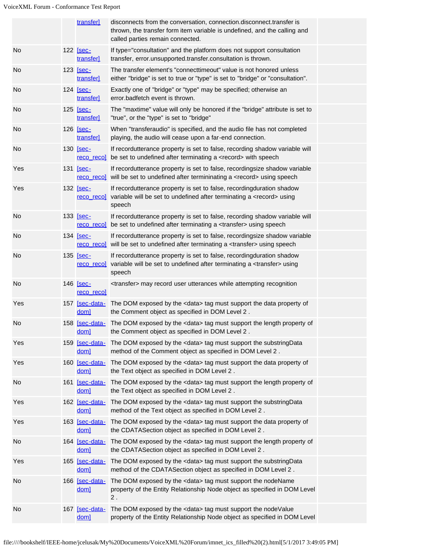|     | transfer]                          | disconnects from the conversation, connection disconnect transfer is<br>thrown, the transfer form item variable is undefined, and the calling and<br>called parties remain connected. |  |
|-----|------------------------------------|---------------------------------------------------------------------------------------------------------------------------------------------------------------------------------------|--|
| No  | 122 [sec-<br>transfer              | If type="consultation" and the platform does not support consultation<br>transfer, error.unsupported.transfer.consultation is thrown.                                                 |  |
| No  | 123 <b>[sec-</b><br>transfer]      | The transfer element's "connecttimeout" value is not honored unless<br>either "bridge" is set to true or "type" is set to "bridge" or "consultation".                                 |  |
| No  | 124 [sec-<br>transfer]             | Exactly one of "bridge" or "type" may be specified; otherwise an<br>error.badfetch event is thrown.                                                                                   |  |
| No  | 125 [sec-<br>transfer]             | The "maxtime" value will only be honored if the "bridge" attribute is set to<br>"true", or the "type" is set to "bridge"                                                              |  |
| No  | 126 <u>[sec-</u><br>transfer       | When "transferaudio" is specified, and the audio file has not completed<br>playing, the audio will cease upon a far-end connection.                                                   |  |
| No  | 130 [sec-<br><u>reco</u> recol     | If recordutterance property is set to false, recording shadow variable will<br>be set to undefined after terminating a <record> with speech</record>                                  |  |
| Yes | 131 <b>[sec-</b><br>reco recol     | If recordutterance property is set to false, recordingsize shadow variable<br>will be set to undefined after termininating a <record> using speech</record>                           |  |
| Yes | 132 <b>[sec-</b><br>reco reco      | If recordutterance property is set to false, recordingduration shadow<br>variable will be set to undefined after terminating a <record> using<br/>speech</record>                     |  |
| No  | 133 [sec-<br>reco recol            | If recordutterance property is set to false, recording shadow variable will<br>be set to undefined after terminating a <transfer> using speech</transfer>                             |  |
| No  | 134 <b>[sec-</b>                   | If recordutterance property is set to false, recordingsize shadow variable<br>reco recol will be set to undefined after terminating a <transfer> using speech</transfer>              |  |
| No  | 135 [sec-<br><u>reco</u> reco      | If recordutterance property is set to false, recordingduration shadow<br>variable will be set to undefined after terminating a <transfer> using<br/>speech</transfer>                 |  |
| No  | 146 <u>[sec-</u><br>reco reco]     | <transfer> may record user utterances while attempting recognition</transfer>                                                                                                         |  |
| Yes | 157 [sec-data-<br>dom <sub>l</sub> | The DOM exposed by the <data> tag must support the data property of<br/>the Comment object as specified in DOM Level 2.</data>                                                        |  |
| No  | dom]                               | 158 [sec-data- The DOM exposed by the <data> tag must support the length property of<br/>the Comment object as specified in DOM Level 2.</data>                                       |  |
| Yes | 159 [sec-data-<br>dom <sub>1</sub> | The DOM exposed by the <data> tag must support the substringData<br/>method of the Comment object as specified in DOM Level 2.</data>                                                 |  |
| Yes | 160 [sec-data-<br>dom]             | The DOM exposed by the <data> tag must support the data property of<br/>the Text object as specified in DOM Level 2.</data>                                                           |  |
| No  | 161 [sec-data-<br>dom]             | The DOM exposed by the <data> tag must support the length property of<br/>the Text object as specified in DOM Level 2.</data>                                                         |  |
| Yes | 162 [sec-data-<br>dom]             | The DOM exposed by the <data> tag must support the substringData<br/>method of the Text object as specified in DOM Level 2.</data>                                                    |  |
| Yes | 163 [sec-data-<br>dom]             | The DOM exposed by the <data> tag must support the data property of<br/>the CDATASection object as specified in DOM Level 2.</data>                                                   |  |
| No  | 164 [sec-data-<br>dom]             | The DOM exposed by the <data> tag must support the length property of<br/>the CDATASection object as specified in DOM Level 2.</data>                                                 |  |
| Yes | 165 [sec-data-<br>dom]             | The DOM exposed by the <data> tag must support the substringData<br/>method of the CDATASection object as specified in DOM Level 2.</data>                                            |  |
| No  | 166 [sec-data-<br>dom]             | The DOM exposed by the <data> tag must support the nodeName<br/>property of the Entity Relationship Node object as specified in DOM Level<br/><math>2</math>.</data>                  |  |
| No  | 167 [sec-data-<br>dom]             | The DOM exposed by the <data> tag must support the nodeValue<br/>property of the Entity Relationship Node object as specified in DOM Level</data>                                     |  |
|     |                                    |                                                                                                                                                                                       |  |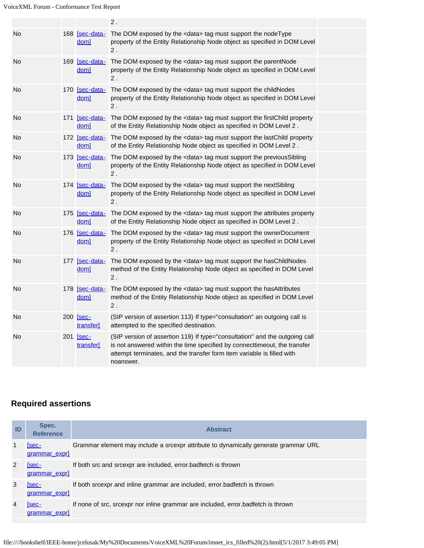|    |                                    | $2$ .                                                                                                                                                                                                                                           |  |
|----|------------------------------------|-------------------------------------------------------------------------------------------------------------------------------------------------------------------------------------------------------------------------------------------------|--|
| No | 168 [sec-data-<br>dom]             | The DOM exposed by the <data> tag must support the nodeType<br/>property of the Entity Relationship Node object as specified in DOM Level<br/>2.</data>                                                                                         |  |
| No | 169 [sec-data-<br>doml             | The DOM exposed by the <data> tag must support the parentNode<br/>property of the Entity Relationship Node object as specified in DOM Level<br/>2.</data>                                                                                       |  |
| No | 170 [sec-data-<br>doml             | The DOM exposed by the <data> tag must support the childNodes<br/>property of the Entity Relationship Node object as specified in DOM Level<br/>2.</data>                                                                                       |  |
| No | 171 [sec-data-<br>dom <sub>1</sub> | The DOM exposed by the <data> tag must support the firstChild property<br/>of the Entity Relationship Node object as specified in DOM Level 2.</data>                                                                                           |  |
| No | <u>doml</u>                        | 172 [sec-data- The DOM exposed by the <data> tag must support the lastChild property<br/>of the Entity Relationship Node object as specified in DOM Level 2.</data>                                                                             |  |
| No | 173 [sec-data-<br>dom <sub>1</sub> | The DOM exposed by the <data> tag must support the previousSibling<br/>property of the Entity Relationship Node object as specified in DOM Level<br/><math>2</math>.</data>                                                                     |  |
| No | 174 [sec-data-<br>dom]             | The DOM exposed by the <data> tag must support the nextSibling<br/>property of the Entity Relationship Node object as specified in DOM Level<br/>2.</data>                                                                                      |  |
| No | 175 [sec-data-<br>dom <sub>1</sub> | The DOM exposed by the <data> tag must support the attributes property<br/>of the Entity Relationship Node object as specified in DOM Level 2.</data>                                                                                           |  |
| No | 176 [sec-data-<br>dom]             | The DOM exposed by the <data> tag must support the ownerDocument<br/>property of the Entity Relationship Node object as specified in DOM Level<br/>2.</data>                                                                                    |  |
| No | 177 [sec-data-<br>doml             | The DOM exposed by the <data> tag must support the hasChildNodes<br/>method of the Entity Relationship Node object as specified in DOM Level<br/>2.</data>                                                                                      |  |
| No | 178 [sec-data-<br>dom]             | The DOM exposed by the <data> tag must support the hasAttributes<br/>method of the Entity Relationship Node object as specified in DOM Level<br/><math display="inline">2</math> .</data>                                                       |  |
| No | 200 [sec-<br>transfer]             | (SIP version of assertion 113) If type="consultation" an outgoing call is<br>attempted to the specified destination.                                                                                                                            |  |
| No | 201 [sec-<br>transfer]             | (SIP version of assertion 119) If type="consultation" and the outgoing call<br>is not answered within the time specified by connecttimeout, the transfer<br>attempt terminates, and the transfer form item variable is filled with<br>noanswer. |  |

# **Required assertions**

| ID | Spec.<br><b>Reference</b>    | <b>Abstract</b>                                                                     |
|----|------------------------------|-------------------------------------------------------------------------------------|
|    | [sec-<br>grammar expr]       | Grammar element may include a srcexpr attribute to dynamically generate grammar URL |
|    | <b>Sec-</b><br>grammar expr] | If both src and srcexpr are included, error badfetch is thrown                      |
|    | [sec-<br>grammar exprl       | If both srcexpr and inline grammar are included, error.badfetch is thrown           |
|    | Isec-<br>grammar exprl       | If none of src, srcexpr nor inline grammar are included, error badfetch is thrown   |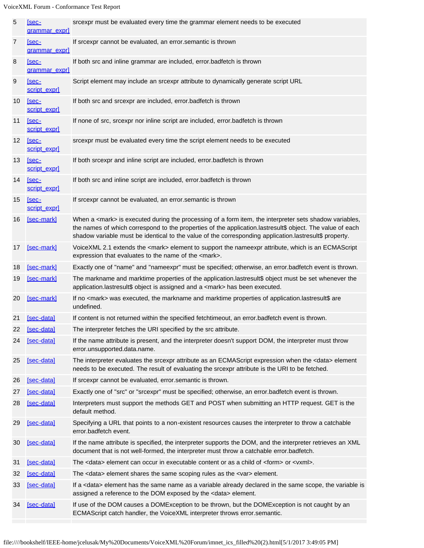| 5               | <u>Sec-</u><br>grammar expr] | srcexpr must be evaluated every time the grammar element needs to be executed                                                                                                                                                                                                                                                          |
|-----------------|------------------------------|----------------------------------------------------------------------------------------------------------------------------------------------------------------------------------------------------------------------------------------------------------------------------------------------------------------------------------------|
| $\overline{7}$  | $[sec-$<br>grammar expr]     | If srcexpr cannot be evaluated, an error.semantic is thrown                                                                                                                                                                                                                                                                            |
| 8               | <u>Sec-</u><br>grammar expr] | If both src and inline grammar are included, error.badfetch is thrown                                                                                                                                                                                                                                                                  |
| 9               | $[sec-$<br>script expr]      | Script element may include an srcexpr attribute to dynamically generate script URL                                                                                                                                                                                                                                                     |
| 10              | [sec-<br>script exprl        | If both src and srcexpr are included, error.badfetch is thrown                                                                                                                                                                                                                                                                         |
| 11              | [sec-<br>script expr]        | If none of src, srcexpr nor inline script are included, error badfetch is thrown                                                                                                                                                                                                                                                       |
| 12 <sup>2</sup> | [sec-<br>script expr]        | srcexpr must be evaluated every time the script element needs to be executed                                                                                                                                                                                                                                                           |
| 13              | [sec-<br>script expr]        | If both srcexpr and inline script are included, error.badfetch is thrown                                                                                                                                                                                                                                                               |
| 14              | $[sec-$<br>script exprl      | If both src and inline script are included, error.badfetch is thrown                                                                                                                                                                                                                                                                   |
| 15              | [sec-<br>script expr]        | If srcexpr cannot be evaluated, an error.semantic is thrown                                                                                                                                                                                                                                                                            |
| 16              | [sec-mark]                   | When a <mark> is executed during the processing of a form item, the interpreter sets shadow variables,<br/>the names of which correspond to the properties of the application.lastresult\$ object. The value of each<br/>shadow variable must be identical to the value of the corresponding application.lastresult\$ property.</mark> |
| 17              | [sec-mark]                   | VoiceXML 2.1 extends the <mark> element to support the nameexpr attribute, which is an ECMAScript<br/>expression that evaluates to the name of the <mark>.</mark></mark>                                                                                                                                                               |
| 18              | [sec-mark]                   | Exactly one of "name" and "nameexpr" must be specified; otherwise, an error.badfetch event is thrown.                                                                                                                                                                                                                                  |
| 19              | [sec-mark]                   | The markname and marktime properties of the application.lastresult\$ object must be set whenever the<br>application.lastresult\$ object is assigned and a <mark> has been executed.</mark>                                                                                                                                             |
| 20              | [sec-mark]                   | If no <mark> was executed, the markname and marktime properties of application.lastresult\$ are<br/>undefined.</mark>                                                                                                                                                                                                                  |
| 21              | [sec-data]                   | If content is not returned within the specified fetchtimeout, an error badfetch event is thrown.                                                                                                                                                                                                                                       |
| 22              | [sec-data]                   | The interpreter fetches the URI specified by the src attribute.                                                                                                                                                                                                                                                                        |
| 24              | [sec-data]                   | If the name attribute is present, and the interpreter doesn't support DOM, the interpreter must throw<br>error.unsupported.data.name.                                                                                                                                                                                                  |
| 25              | [sec-data]                   | The interpreter evaluates the srcexpr attribute as an ECMAScript expression when the <data> element<br/>needs to be executed. The result of evaluating the srcexpr attribute is the URI to be fetched.</data>                                                                                                                          |
| 26              | [sec-data]                   | If srcexpr cannot be evaluated, error semantic is thrown.                                                                                                                                                                                                                                                                              |
| 27              | [sec-data]                   | Exactly one of "src" or "srcexpr" must be specified; otherwise, an error badfetch event is thrown.                                                                                                                                                                                                                                     |
| 28              | [sec-data]                   | Interpreters must support the methods GET and POST when submitting an HTTP request. GET is the<br>default method.                                                                                                                                                                                                                      |
| 29              | [sec-data]                   | Specifying a URL that points to a non-existent resources causes the interpreter to throw a catchable<br>error.badfetch event.                                                                                                                                                                                                          |
| 30              | [sec-data]                   | If the name attribute is specified, the interpreter supports the DOM, and the interpreter retrieves an XML<br>document that is not well-formed, the interpreter must throw a catchable error.badfetch.                                                                                                                                 |
| 31              | [sec-data]                   | The <data> element can occur in executable content or as a child of <form> or <vxml>.</vxml></form></data>                                                                                                                                                                                                                             |
| 32              | [sec-data]                   | The <data> element shares the same scoping rules as the <var> element.</var></data>                                                                                                                                                                                                                                                    |
| 33              | [sec-data]                   | If a <data> element has the same name as a variable already declared in the same scope, the variable is<br/>assigned a reference to the DOM exposed by the <data> element.</data></data>                                                                                                                                               |
| 34              | [sec-data]                   | If use of the DOM causes a DOMException to be thrown, but the DOMException is not caught by an<br>ECMAScript catch handler, the VoiceXML interpreter throws error.semantic.                                                                                                                                                            |
|                 |                              |                                                                                                                                                                                                                                                                                                                                        |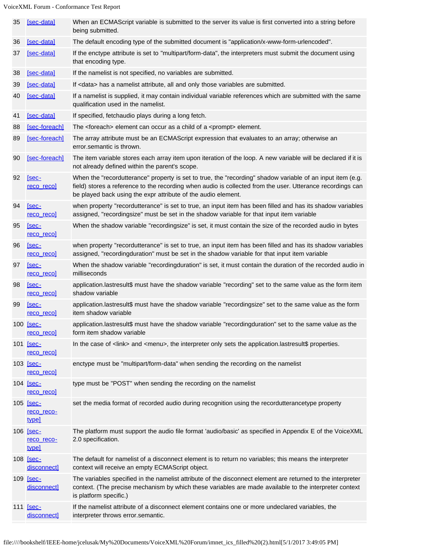| 35 | [sec-data]                              | When an ECMAScript variable is submitted to the server its value is first converted into a string before<br>being submitted.                                                                                                                                                              |
|----|-----------------------------------------|-------------------------------------------------------------------------------------------------------------------------------------------------------------------------------------------------------------------------------------------------------------------------------------------|
| 36 | [sec-data]                              | The default encoding type of the submitted document is "application/x-www-form-urlencoded".                                                                                                                                                                                               |
| 37 | [sec-data]                              | If the enctype attribute is set to "multipart/form-data", the interpreters must submit the document using<br>that encoding type.                                                                                                                                                          |
| 38 | [sec-data]                              | If the namelist is not specified, no variables are submitted.                                                                                                                                                                                                                             |
| 39 | [sec-data]                              | If <data> has a namelist attribute, all and only those variables are submitted.</data>                                                                                                                                                                                                    |
| 40 | [sec-data]                              | If a namelist is supplied, it may contain individual variable references which are submitted with the same<br>qualification used in the namelist.                                                                                                                                         |
| 41 | [sec-data]                              | If specified, fetchaudio plays during a long fetch.                                                                                                                                                                                                                                       |
| 88 | [sec-foreach]                           | The <foreach> element can occur as a child of a <prompt> element.</prompt></foreach>                                                                                                                                                                                                      |
| 89 | [sec-foreach]                           | The array attribute must be an ECMAScript expression that evaluates to an array; otherwise an<br>error.semantic is thrown.                                                                                                                                                                |
| 90 | [sec-foreach]                           | The item variable stores each array item upon iteration of the loop. A new variable will be declared if it is<br>not already defined within the parent's scope.                                                                                                                           |
| 92 | [sec-<br>reco reco                      | When the "recordutterance" property is set to true, the "recording" shadow variable of an input item (e.g.<br>field) stores a reference to the recording when audio is collected from the user. Utterance recordings can<br>be played back using the expr attribute of the audio element. |
| 94 | [sec-<br>reco recol                     | when property "recordutterance" is set to true, an input item has been filled and has its shadow variables<br>assigned, "recordingsize" must be set in the shadow variable for that input item variable                                                                                   |
| 95 | [sec-<br><u>reco</u> recol              | When the shadow variable "recordingsize" is set, it must contain the size of the recorded audio in bytes                                                                                                                                                                                  |
| 96 | [sec-<br>reco recol                     | when property "recordutterance" is set to true, an input item has been filled and has its shadow variables<br>assigned, "recordingduration" must be set in the shadow variable for that input item variable                                                                               |
| 97 | [sec-<br><u>reco</u> recol              | When the shadow variable "recordingduration" is set, it must contain the duration of the recorded audio in<br>milliseconds                                                                                                                                                                |
| 98 | [sec-<br>reco recol                     | application.lastresult\$ must have the shadow variable "recording" set to the same value as the form item<br>shadow variable                                                                                                                                                              |
| 99 | [sec-<br>reco recol                     | application.lastresult\$ must have the shadow variable "recordingsize" set to the same value as the form<br>item shadow variable                                                                                                                                                          |
|    | 100 [sec-<br>reco recol                 | application.lastresult\$ must have the shadow variable "recordingduration" set to the same value as the<br>form item shadow variable                                                                                                                                                      |
|    | 101 <b>[sec-</b><br>reco recol          | In the case of <link/> and <menu>, the interpreter only sets the application.lastresult\$ properties.</menu>                                                                                                                                                                              |
|    | 103 <b>[sec-</b><br>reco reco]          | enctype must be "multipart/form-data" when sending the recording on the namelist                                                                                                                                                                                                          |
|    | 104 [sec-<br><u>reco</u> recol          | type must be "POST" when sending the recording on the namelist                                                                                                                                                                                                                            |
|    | 105 [sec-<br>reco reco-<br>type]        | set the media format of recorded audio during recognition using the recordutterancetype property                                                                                                                                                                                          |
|    | 106 <u>[sec-</u><br>reco reco-<br>type] | The platform must support the audio file format 'audio/basic' as specified in Appendix E of the VoiceXML<br>2.0 specification.                                                                                                                                                            |
|    | 108 [sec-<br>disconnect]                | The default for namelist of a disconnect element is to return no variables; this means the interpreter<br>context will receive an empty ECMAScript object.                                                                                                                                |
|    | 109 [sec-<br>disconnect]                | The variables specified in the namelist attribute of the disconnect element are returned to the interpreter<br>context. (The precise mechanism by which these variables are made available to the interpreter context<br>is platform specific.)                                           |
|    | 111 [sec-<br>disconnect]                | If the namelist attribute of a disconnect element contains one or more undeclared variables, the<br>interpreter throws error.semantic.                                                                                                                                                    |
|    |                                         |                                                                                                                                                                                                                                                                                           |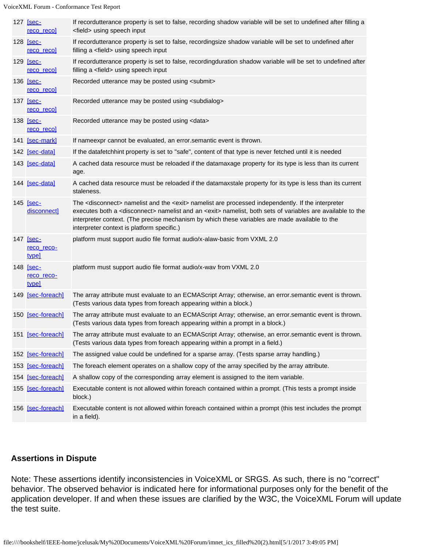| 127 <b>Sec-</b><br><u>reco</u> recol  | If recordutterance property is set to false, recording shadow variable will be set to undefined after filling a<br><field> using speech input</field>                                                                                                                                                                                                                                                     |
|---------------------------------------|-----------------------------------------------------------------------------------------------------------------------------------------------------------------------------------------------------------------------------------------------------------------------------------------------------------------------------------------------------------------------------------------------------------|
| 128 <u>[sec-</u><br>reco recol        | If recordutterance property is set to false, recordingsize shadow variable will be set to undefined after<br>filling a <field> using speech input</field>                                                                                                                                                                                                                                                 |
| 129 <b>[sec-</b><br><u>reco</u> recol | If recordutterance property is set to false, recordingduration shadow variable will be set to undefined after<br>filling a <field> using speech input</field>                                                                                                                                                                                                                                             |
| 136 <u>[sec-</u><br><u>reco</u> recol | Recorded utterance may be posted using <submit></submit>                                                                                                                                                                                                                                                                                                                                                  |
| 137 <u>[sec-</u><br><u>reco</u> recol | Recorded utterance may be posted using <subdialog></subdialog>                                                                                                                                                                                                                                                                                                                                            |
| 138 <u>[sec-</u><br><u>reco</u> recol | Recorded utterance may be posted using <data></data>                                                                                                                                                                                                                                                                                                                                                      |
| 141 [sec-mark]                        | If nameexpr cannot be evaluated, an error.semantic event is thrown.                                                                                                                                                                                                                                                                                                                                       |
| 142 [sec-data]                        | If the datafetchhint property is set to "safe", content of that type is never fetched until it is needed                                                                                                                                                                                                                                                                                                  |
| 143 [sec-data]                        | A cached data resource must be reloaded if the datamaxage property for its type is less than its current<br>age.                                                                                                                                                                                                                                                                                          |
| 144 [sec-data]                        | A cached data resource must be reloaded if the datamaxstale property for its type is less than its current<br>staleness.                                                                                                                                                                                                                                                                                  |
| 145 [sec-<br>disconnect]              | The <disconnect> namelist and the <exit> namelist are processed independently. If the interpreter<br/>executes both a <disconnect> namelist and an <exit> namelist, both sets of variables are available to the<br/>interpreter context. (The precise mechanism by which these variables are made available to the<br/>interpreter context is platform specific.)</exit></disconnect></exit></disconnect> |
| 147 [sec-<br>reco reco-<br>type]      | platform must support audio file format audio/x-alaw-basic from VXML 2.0                                                                                                                                                                                                                                                                                                                                  |
| 148 [sec-<br>reco reco-<br>type]      | platform must support audio file format audio/x-wav from VXML 2.0                                                                                                                                                                                                                                                                                                                                         |
| 149 [sec-foreach]                     | The array attribute must evaluate to an ECMAScript Array; otherwise, an error.semantic event is thrown.<br>(Tests various data types from foreach appearing within a block.)                                                                                                                                                                                                                              |
| 150 [sec-foreach]                     | The array attribute must evaluate to an ECMAScript Array; otherwise, an error.semantic event is thrown.<br>(Tests various data types from foreach appearing within a prompt in a block.)                                                                                                                                                                                                                  |
| 151 [sec-foreach]                     | The array attribute must evaluate to an ECMAScript Array; otherwise, an error.semantic event is thrown.<br>(Tests various data types from foreach appearing within a prompt in a field.)                                                                                                                                                                                                                  |
| 152 [sec-foreach]                     | The assigned value could be undefined for a sparse array. (Tests sparse array handling.)                                                                                                                                                                                                                                                                                                                  |
| 153 [sec-foreach]                     | The foreach element operates on a shallow copy of the array specified by the array attribute.                                                                                                                                                                                                                                                                                                             |
| 154 [sec-foreach]                     | A shallow copy of the corresponding array element is assigned to the item variable.                                                                                                                                                                                                                                                                                                                       |
| 155 [sec-foreach]                     | Executable content is not allowed within foreach contained within a prompt. (This tests a prompt inside<br>block.)                                                                                                                                                                                                                                                                                        |
| 156 [sec-foreach]                     | Executable content is not allowed within foreach contained within a prompt (this test includes the prompt<br>in a field).                                                                                                                                                                                                                                                                                 |

## **Assertions in Dispute**

Note: These assertions identify inconsistencies in VoiceXML or SRGS. As such, there is no "correct" behavior. The observed behavior is indicated here for informational purposes only for the benefit of the application developer. If and when these issues are clarified by the W3C, the VoiceXML Forum will update the test suite.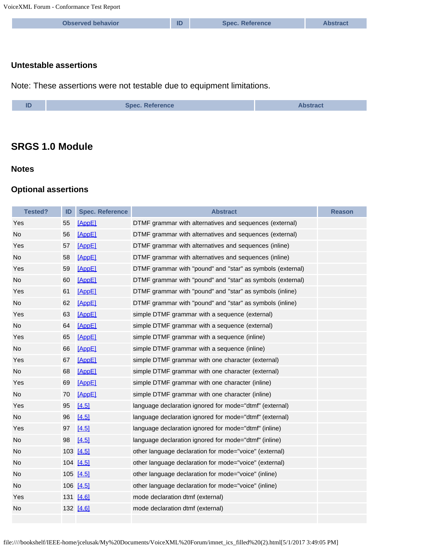| <b>Observed behavior</b> | <b>Spec. Reference</b> |  |
|--------------------------|------------------------|--|
|                          |                        |  |

#### **Untestable assertions**

Note: These assertions were not testable due to equipment limitations.

| ID | <b>Spec. Reference</b> | <b>Abstract</b> |
|----|------------------------|-----------------|
|----|------------------------|-----------------|

# **SRGS 1.0 Module**

## **Notes**

## **Optional assertions**

| <b>Tested?</b> | ID | <b>Spec. Reference</b> | <b>Abstract</b>                                            | <b>Reason</b> |
|----------------|----|------------------------|------------------------------------------------------------|---------------|
| Yes            | 55 | [AppE]                 | DTMF grammar with alternatives and sequences (external)    |               |
| No             | 56 | [AppE]                 | DTMF grammar with alternatives and sequences (external)    |               |
| Yes            | 57 | [AppE]                 | DTMF grammar with alternatives and sequences (inline)      |               |
| No             | 58 | [AppE]                 | DTMF grammar with alternatives and sequences (inline)      |               |
| Yes            | 59 | [AppE]                 | DTMF grammar with "pound" and "star" as symbols (external) |               |
| No             | 60 | [AppE]                 | DTMF grammar with "pound" and "star" as symbols (external) |               |
| Yes            | 61 | [AppE]                 | DTMF grammar with "pound" and "star" as symbols (inline)   |               |
| <b>No</b>      | 62 | [AppE]                 | DTMF grammar with "pound" and "star" as symbols (inline)   |               |
| Yes            | 63 | [AppE]                 | simple DTMF grammar with a sequence (external)             |               |
| No             | 64 | [AppE]                 | simple DTMF grammar with a sequence (external)             |               |
| Yes            | 65 | [AppE]                 | simple DTMF grammar with a sequence (inline)               |               |
| No             | 66 | [AppE]                 | simple DTMF grammar with a sequence (inline)               |               |
| Yes            | 67 | [AppE]                 | simple DTMF grammar with one character (external)          |               |
| No             | 68 | [AppE]                 | simple DTMF grammar with one character (external)          |               |
| Yes            | 69 | [AppE]                 | simple DTMF grammar with one character (inline)            |               |
| <b>No</b>      | 70 | [AppE]                 | simple DTMF grammar with one character (inline)            |               |
| Yes            | 95 | [4.5]                  | language declaration ignored for mode="dtmf" (external)    |               |
| <b>No</b>      | 96 | [4.5]                  | language declaration ignored for mode="dtmf" (external)    |               |
| Yes            | 97 | [4.5]                  | language declaration ignored for mode="dtmf" (inline)      |               |
| No.            | 98 | [4.5]                  | language declaration ignored for mode="dtmf" (inline)      |               |
| No             |    | 103 [4.5]              | other language declaration for mode="voice" (external)     |               |
| No             |    | 104 [4.5]              | other language declaration for mode="voice" (external)     |               |
| No             |    | 105 [4.5]              | other language declaration for mode="voice" (inline)       |               |
| <b>No</b>      |    | 106 [4.5]              | other language declaration for mode="voice" (inline)       |               |
| Yes            |    | 131 [4.6]              | mode declaration dtmf (external)                           |               |
| No             |    | 132 [4.6]              | mode declaration dtmf (external)                           |               |
|                |    |                        |                                                            |               |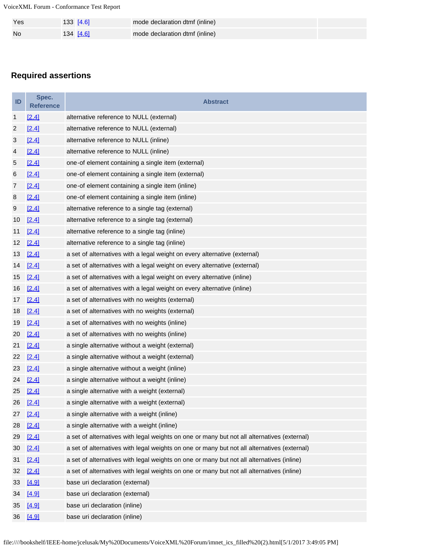| Yes | $133$ [4.6]      | mode declaration dtmf (inline) |
|-----|------------------|--------------------------------|
| No  | 134 <u>[4.6]</u> | mode declaration dtmf (inline) |

# **Required assertions**

| ID                        | Spec.<br><b>Reference</b> | <b>Abstract</b>                                                                             |
|---------------------------|---------------------------|---------------------------------------------------------------------------------------------|
| 1                         | [2.4]                     | alternative reference to NULL (external)                                                    |
| $\overline{c}$            | [2.4]                     | alternative reference to NULL (external)                                                    |
| $\ensuremath{\mathsf{3}}$ | [2.4]                     | alternative reference to NULL (inline)                                                      |
| 4                         | [2.4]                     | alternative reference to NULL (inline)                                                      |
| 5                         | [2.4]                     | one-of element containing a single item (external)                                          |
| 6                         | [2.4]                     | one-of element containing a single item (external)                                          |
| 7                         | [2.4]                     | one-of element containing a single item (inline)                                            |
| 8                         | [2.4]                     | one-of element containing a single item (inline)                                            |
| 9                         | [2.4]                     | alternative reference to a single tag (external)                                            |
| 10                        | [2.4]                     | alternative reference to a single tag (external)                                            |
| 11                        | [2.4]                     | alternative reference to a single tag (inline)                                              |
| 12                        | [2.4]                     | alternative reference to a single tag (inline)                                              |
| 13                        | [2.4]                     | a set of alternatives with a legal weight on every alternative (external)                   |
| 14                        | [2.4]                     | a set of alternatives with a legal weight on every alternative (external)                   |
| 15                        | [2.4]                     | a set of alternatives with a legal weight on every alternative (inline)                     |
| 16                        | [2.4]                     | a set of alternatives with a legal weight on every alternative (inline)                     |
| 17                        | [2.4]                     | a set of alternatives with no weights (external)                                            |
| 18                        | [2.4]                     | a set of alternatives with no weights (external)                                            |
| 19                        | [2.4]                     | a set of alternatives with no weights (inline)                                              |
| 20                        | $[2.4]$                   | a set of alternatives with no weights (inline)                                              |
| 21                        | [2.4]                     | a single alternative without a weight (external)                                            |
| 22                        | [2.4]                     | a single alternative without a weight (external)                                            |
| 23                        | $[2.4]$                   | a single alternative without a weight (inline)                                              |
| 24                        | [2.4]                     | a single alternative without a weight (inline)                                              |
| 25                        | $[2.4]$                   | a single alternative with a weight (external)                                               |
|                           | 26 [2.4]                  | a single alternative with a weight (external)                                               |
| 27                        | $[2.4]$                   | a single alternative with a weight (inline)                                                 |
| 28                        | [2.4]                     | a single alternative with a weight (inline)                                                 |
| 29                        | [2.4]                     | a set of alternatives with legal weights on one or many but not all alternatives (external) |
| 30                        | [2.4]                     | a set of alternatives with legal weights on one or many but not all alternatives (external) |
| 31                        | [2.4]                     | a set of alternatives with legal weights on one or many but not all alternatives (inline)   |
| 32                        | [2.4]                     | a set of alternatives with legal weights on one or many but not all alternatives (inline)   |
| 33                        | [4.9]                     | base uri declaration (external)                                                             |
| 34                        | $[4.9]$                   | base uri declaration (external)                                                             |
| 35                        | [4.9]                     | base uri declaration (inline)                                                               |
| 36                        | [4.9]                     | base uri declaration (inline)                                                               |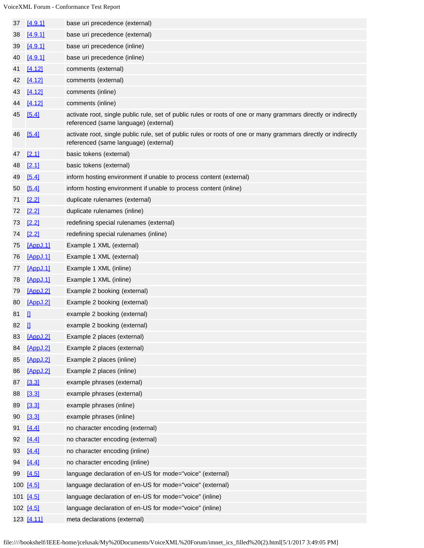| 37 | [4.9.1]      | base uri precedence (external)                                                                                                                          |
|----|--------------|---------------------------------------------------------------------------------------------------------------------------------------------------------|
| 38 | [4.9.1]      | base uri precedence (external)                                                                                                                          |
| 39 | [4.9.1]      | base uri precedence (inline)                                                                                                                            |
| 40 | [4.9.1]      | base uri precedence (inline)                                                                                                                            |
| 41 | [4.12]       | comments (external)                                                                                                                                     |
| 42 | [4.12]       | comments (external)                                                                                                                                     |
| 43 | [4.12]       | comments (inline)                                                                                                                                       |
| 44 | [4.12]       | comments (inline)                                                                                                                                       |
| 45 | [5.4]        | activate root, single public rule, set of public rules or roots of one or many grammars directly or indirectly<br>referenced (same language) (external) |
| 46 | [5.4]        | activate root, single public rule, set of public rules or roots of one or many grammars directly or indirectly<br>referenced (same language) (external) |
| 47 | [2.1]        | basic tokens (external)                                                                                                                                 |
| 48 | [2.1]        | basic tokens (external)                                                                                                                                 |
| 49 | [5.4]        | inform hosting environment if unable to process content (external)                                                                                      |
| 50 | [5.4]        | inform hosting environment if unable to process content (inline)                                                                                        |
| 71 | $[2.2]$      | duplicate rulenames (external)                                                                                                                          |
| 72 | $[2.2]$      | duplicate rulenames (inline)                                                                                                                            |
| 73 | $[2.2]$      | redefining special rulenames (external)                                                                                                                 |
| 74 | $[2.2]$      | redefining special rulenames (inline)                                                                                                                   |
| 75 | [AppJ.1]     | Example 1 XML (external)                                                                                                                                |
| 76 | [AppJ.1]     | Example 1 XML (external)                                                                                                                                |
| 77 | [AppJ.1]     | Example 1 XML (inline)                                                                                                                                  |
| 78 | [AppJ.1]     | Example 1 XML (inline)                                                                                                                                  |
| 79 | [AppJ.2]     | Example 2 booking (external)                                                                                                                            |
| 80 | [AppJ.2]     | Example 2 booking (external)                                                                                                                            |
| 81 | $\mathbf{u}$ | example 2 booking (external)                                                                                                                            |
| 82 | п            | example 2 booking (external)                                                                                                                            |
| 83 | [AppJ.2]     | Example 2 places (external)                                                                                                                             |
| 84 | [AppJ.2]     | Example 2 places (external)                                                                                                                             |
| 85 | [AppJ.2]     | Example 2 places (inline)                                                                                                                               |
| 86 | [AppJ.2]     | Example 2 places (inline)                                                                                                                               |
| 87 | [3.3]        | example phrases (external)                                                                                                                              |
| 88 | [3.3]        | example phrases (external)                                                                                                                              |
| 89 | [3.3]        | example phrases (inline)                                                                                                                                |
| 90 | [3.3]        | example phrases (inline)                                                                                                                                |
| 91 | [4.4]        | no character encoding (external)                                                                                                                        |
| 92 | [4.4]        | no character encoding (external)                                                                                                                        |
| 93 | [4.4]        | no character encoding (inline)                                                                                                                          |
| 94 | [4.4]        | no character encoding (inline)                                                                                                                          |
| 99 | [4.5]        | language declaration of en-US for mode="voice" (external)                                                                                               |
|    | 100 [4.5]    | language declaration of en-US for mode="voice" (external)                                                                                               |
|    | 101 [4.5]    | language declaration of en-US for mode="voice" (inline)                                                                                                 |
|    | 102 [4.5]    | language declaration of en-US for mode="voice" (inline)                                                                                                 |
|    | 123 [4.11]   | meta declarations (external)                                                                                                                            |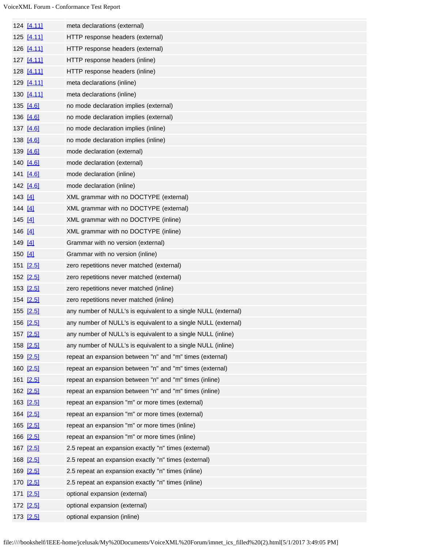|         | 124 [4.11] | meta declarations (external)                                   |
|---------|------------|----------------------------------------------------------------|
|         | 125 [4.11] | HTTP response headers (external)                               |
|         | 126 [4.11] | HTTP response headers (external)                               |
|         | 127 [4.11] | HTTP response headers (inline)                                 |
|         | 128 [4.11] | HTTP response headers (inline)                                 |
|         | 129 [4.11] | meta declarations (inline)                                     |
|         | 130 [4.11] | meta declarations (inline)                                     |
|         | 135 [4.6]  | no mode declaration implies (external)                         |
|         | 136 [4.6]  | no mode declaration implies (external)                         |
|         | 137 [4.6]  | no mode declaration implies (inline)                           |
|         | 138 [4.6]  | no mode declaration implies (inline)                           |
|         | 139 [4.6]  | mode declaration (external)                                    |
|         | 140 [4.6]  | mode declaration (external)                                    |
|         | 141 [4.6]  | mode declaration (inline)                                      |
|         | 142 [4.6]  | mode declaration (inline)                                      |
| 143 [4] |            | XML grammar with no DOCTYPE (external)                         |
| 144 [4] |            | XML grammar with no DOCTYPE (external)                         |
| 145 [4] |            | XML grammar with no DOCTYPE (inline)                           |
| 146 [4] |            | XML grammar with no DOCTYPE (inline)                           |
| 149 [4] |            | Grammar with no version (external)                             |
| 150 [4] |            | Grammar with no version (inline)                               |
|         | 151 [2.5]  | zero repetitions never matched (external)                      |
|         | 152 [2.5]  | zero repetitions never matched (external)                      |
|         | 153 [2.5]  | zero repetitions never matched (inline)                        |
|         | 154 [2.5]  | zero repetitions never matched (inline)                        |
|         | 155 [2.5]  | any number of NULL's is equivalent to a single NULL (external) |
|         | 156 [2.5]  | any number of NULL's is equivalent to a single NULL (external) |
|         | 157 [2.5]  | any number of NULL's is equivalent to a single NULL (inline)   |
|         | 158 [2.5]  | any number of NULL's is equivalent to a single NULL (inline)   |
|         | 159 [2.5]  | repeat an expansion between "n" and "m" times (external)       |
|         | 160 [2.5]  | repeat an expansion between "n" and "m" times (external)       |
|         | 161 [2.5]  | repeat an expansion between "n" and "m" times (inline)         |
|         | 162 [2.5]  | repeat an expansion between "n" and "m" times (inline)         |
|         | 163 [2.5]  | repeat an expansion "m" or more times (external)               |
|         | 164 [2.5]  | repeat an expansion "m" or more times (external)               |
|         | 165 [2.5]  | repeat an expansion "m" or more times (inline)                 |
|         | 166 [2.5]  | repeat an expansion "m" or more times (inline)                 |
|         | 167 [2.5]  | 2.5 repeat an expansion exactly "n" times (external)           |
|         | 168 [2.5]  | 2.5 repeat an expansion exactly "n" times (external)           |
|         | 169 [2.5]  | 2.5 repeat an expansion exactly "n" times (inline)             |
|         | 170 [2.5]  | 2.5 repeat an expansion exactly "n" times (inline)             |
|         | 171 [2.5]  | optional expansion (external)                                  |
|         | 172 [2.5]  | optional expansion (external)                                  |
|         | 173 [2.5]  | optional expansion (inline)                                    |
|         |            |                                                                |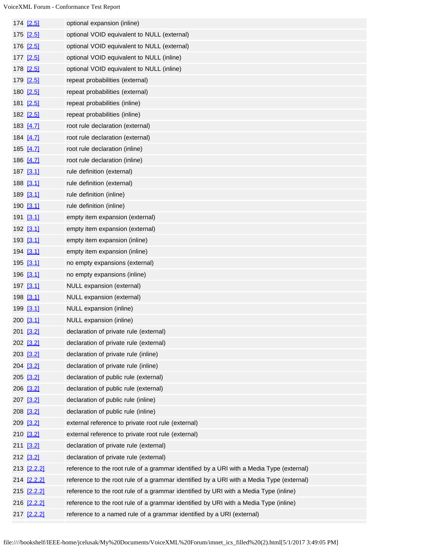| 174 [2.5]   | optional expansion (inline)                                                              |
|-------------|------------------------------------------------------------------------------------------|
| 175 [2.5]   | optional VOID equivalent to NULL (external)                                              |
| 176 [2.5]   | optional VOID equivalent to NULL (external)                                              |
| 177 [2.5]   | optional VOID equivalent to NULL (inline)                                                |
| 178 [2.5]   | optional VOID equivalent to NULL (inline)                                                |
| 179 [2.5]   | repeat probabilities (external)                                                          |
| 180 [2.5]   | repeat probabilities (external)                                                          |
| 181 [2.5]   | repeat probabilities (inline)                                                            |
| 182 [2.5]   | repeat probabilities (inline)                                                            |
| 183 [4.7]   | root rule declaration (external)                                                         |
| 184 [4.7]   | root rule declaration (external)                                                         |
| 185 [4.7]   | root rule declaration (inline)                                                           |
| 186 [4.7]   | root rule declaration (inline)                                                           |
| 187 [3.1]   | rule definition (external)                                                               |
| 188 [3.1]   | rule definition (external)                                                               |
| 189 [3.1]   | rule definition (inline)                                                                 |
| 190 [3.1]   | rule definition (inline)                                                                 |
| 191 [3.1]   | empty item expansion (external)                                                          |
| 192 [3.1]   | empty item expansion (external)                                                          |
| 193 [3.1]   | empty item expansion (inline)                                                            |
| 194 [3.1]   | empty item expansion (inline)                                                            |
| 195 [3.1]   | no empty expansions (external)                                                           |
| 196 [3.1]   | no empty expansions (inline)                                                             |
| 197 [3.1]   | NULL expansion (external)                                                                |
| 198 [3.1]   | NULL expansion (external)                                                                |
| 199 [3.1]   | NULL expansion (inline)                                                                  |
| 200 [3.1]   | NULL expansion (inline)                                                                  |
| 201 [3.2]   | declaration of private rule (external)                                                   |
| 202 [3.2]   | declaration of private rule (external)                                                   |
| 203 [3.2]   | declaration of private rule (inline)                                                     |
| 204 [3.2]   | declaration of private rule (inline)                                                     |
| 205 [3.2]   | declaration of public rule (external)                                                    |
| 206 [3.2]   | declaration of public rule (external)                                                    |
| 207 [3.2]   | declaration of public rule (inline)                                                      |
| 208 [3.2]   | declaration of public rule (inline)                                                      |
| 209 [3.2]   | external reference to private root rule (external)                                       |
| 210 [3.2]   | external reference to private root rule (external)                                       |
| 211 [3.2]   | declaration of private rule (external)                                                   |
| 212 [3.2]   | declaration of private rule (external)                                                   |
| 213 [2.2.2] | reference to the root rule of a grammar identified by a URI with a Media Type (external) |
| 214 [2.2.2] | reference to the root rule of a grammar identified by a URI with a Media Type (external) |
| 215 [2.2.2] | reference to the root rule of a grammar identified by URI with a Media Type (inline)     |
| 216 [2.2.2] | reference to the root rule of a grammar identified by URI with a Media Type (inline)     |
| 217 [2.2.2] | reference to a named rule of a grammar identified by a URI (external)                    |
|             |                                                                                          |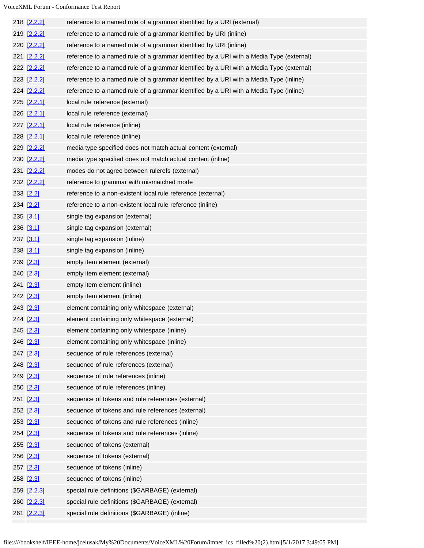| 218 [2.2.2]   | reference to a named rule of a grammar identified by a URI (external)                   |
|---------------|-----------------------------------------------------------------------------------------|
| 219 [2.2.2]   | reference to a named rule of a grammar identified by URI (inline)                       |
| 220 [2.2.2]   | reference to a named rule of a grammar identified by URI (inline)                       |
| 221 [2.2.2]   | reference to a named rule of a grammar identified by a URI with a Media Type (external) |
| 222 [2.2.2]   | reference to a named rule of a grammar identified by a URI with a Media Type (external) |
| 223 [2.2.2]   | reference to a named rule of a grammar identified by a URI with a Media Type (inline)   |
| 224 [2.2.2]   | reference to a named rule of a grammar identified by a URI with a Media Type (inline)   |
| 225 [2.2.1]   | local rule reference (external)                                                         |
| 226 [2.2.1]   | local rule reference (external)                                                         |
| 227 [2.2.1]   | local rule reference (inline)                                                           |
| 228 [2.2.1]   | local rule reference (inline)                                                           |
| 229 [2.2.2]   | media type specified does not match actual content (external)                           |
| 230 [2.2.2]   | media type specified does not match actual content (inline)                             |
| 231 [2.2.2]   | modes do not agree between rulerefs (external)                                          |
| 232 [2.2.2]   | reference to grammar with mismatched mode                                               |
| 233 [2.2]     | reference to a non-existent local rule reference (external)                             |
| 234 [2.2]     | reference to a non-existent local rule reference (inline)                               |
| 235 [3.1]     | single tag expansion (external)                                                         |
| 236 [3.1]     | single tag expansion (external)                                                         |
| 237 [3.1]     | single tag expansion (inline)                                                           |
| $238$ [3.1]   | single tag expansion (inline)                                                           |
| 239 [2.3]     | empty item element (external)                                                           |
| 240 [2.3]     | empty item element (external)                                                           |
| 241 [2.3]     | empty item element (inline)                                                             |
| 242 [2.3]     | empty item element (inline)                                                             |
| 243 [2.3]     | element containing only whitespace (external)                                           |
| 244 [2.3]     | element containing only whitespace (external)                                           |
| 245 [2.3]     | element containing only whitespace (inline)                                             |
| 246 [2.3]     | element containing only whitespace (inline)                                             |
| 247 [2.3]     | sequence of rule references (external)                                                  |
| 248 [2.3]     | sequence of rule references (external)                                                  |
| 249 [2.3]     | sequence of rule references (inline)                                                    |
| 250 [2.3]     | sequence of rule references (inline)                                                    |
| 251 [2.3]     | sequence of tokens and rule references (external)                                       |
| 252 [2.3]     | sequence of tokens and rule references (external)                                       |
| 253 [2.3]     | sequence of tokens and rule references (inline)                                         |
| 254 [2.3]     | sequence of tokens and rule references (inline)                                         |
| 255 [2.3]     | sequence of tokens (external)                                                           |
| 256 [2.3]     | sequence of tokens (external)                                                           |
| 257 [2.3]     | sequence of tokens (inline)                                                             |
| $258$ $[2.3]$ | sequence of tokens (inline)                                                             |
| 259 [2.2.3]   | special rule definitions (\$GARBAGE) (external)                                         |
| 260 [2.2.3]   | special rule definitions (\$GARBAGE) (external)                                         |
| 261 [2.2.3]   | special rule definitions (\$GARBAGE) (inline)                                           |
|               |                                                                                         |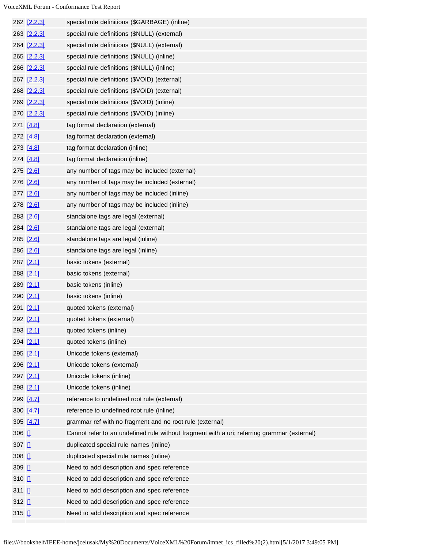|              | 262 <u>[2.2.3]</u> | special rule definitions (\$GARBAGE) (inline)                                               |
|--------------|--------------------|---------------------------------------------------------------------------------------------|
|              | 263 [2.2.3]        | special rule definitions (\$NULL) (external)                                                |
|              | 264 [2.2.3]        | special rule definitions (\$NULL) (external)                                                |
|              | 265 [2.2.3]        | special rule definitions (\$NULL) (inline)                                                  |
|              | 266 [2.2.3]        | special rule definitions (\$NULL) (inline)                                                  |
|              | 267 [2.2.3]        | special rule definitions (\$VOID) (external)                                                |
|              | 268 [2.2.3]        | special rule definitions (\$VOID) (external)                                                |
|              | 269 [2.2.3]        | special rule definitions (\$VOID) (inline)                                                  |
|              | 270 [2.2.3]        | special rule definitions (\$VOID) (inline)                                                  |
|              | 271 [4.8]          | tag format declaration (external)                                                           |
|              | 272 [4.8]          | tag format declaration (external)                                                           |
|              | 273 [4.8]          | tag format declaration (inline)                                                             |
|              | 274 [4.8]          | tag format declaration (inline)                                                             |
|              | 275 [2.6]          | any number of tags may be included (external)                                               |
|              | 276 [2.6]          | any number of tags may be included (external)                                               |
|              | 277 [2.6]          | any number of tags may be included (inline)                                                 |
|              | 278 [2.6]          | any number of tags may be included (inline)                                                 |
|              | 283 [2.6]          | standalone tags are legal (external)                                                        |
|              | 284 [2.6]          | standalone tags are legal (external)                                                        |
|              | 285 [2.6]          | standalone tags are legal (inline)                                                          |
|              | 286 [2.6]          | standalone tags are legal (inline)                                                          |
|              | 287 [2.1]          | basic tokens (external)                                                                     |
|              | 288 [2.1]          | basic tokens (external)                                                                     |
|              | 289 [2.1]          | basic tokens (inline)                                                                       |
|              | 290 [2.1]          | basic tokens (inline)                                                                       |
|              | 291 [2.1]          | quoted tokens (external)                                                                    |
|              | 292 [2.1]          | quoted tokens (external)                                                                    |
|              | 293 [2.1]          | quoted tokens (inline)                                                                      |
|              | 294 [2.1]          | quoted tokens (inline)                                                                      |
|              | 295 [2.1]          | Unicode tokens (external)                                                                   |
|              | 296 [2.1]          | Unicode tokens (external)                                                                   |
|              | 297 [2.1]          | Unicode tokens (inline)                                                                     |
|              | 298 [2.1]          | Unicode tokens (inline)                                                                     |
|              | 299 [4.7]          | reference to undefined root rule (external)                                                 |
|              | 300 [4.7]          | reference to undefined root rule (inline)                                                   |
|              | 305 [4.7]          | grammar ref with no fragment and no root rule (external)                                    |
| 306 日        |                    | Cannot refer to an undefined rule without fragment with a uri; referring grammar (external) |
| 307 日        |                    | duplicated special rule names (inline)                                                      |
| 308 日        |                    | duplicated special rule names (inline)                                                      |
| $309$ $\Box$ |                    | Need to add description and spec reference                                                  |
| 310 日        |                    | Need to add description and spec reference                                                  |
| 311 Ⅱ        |                    | Need to add description and spec reference                                                  |
| 312 Ⅱ        |                    | Need to add description and spec reference                                                  |
| 315 Ⅱ        |                    | Need to add description and spec reference                                                  |
|              |                    |                                                                                             |